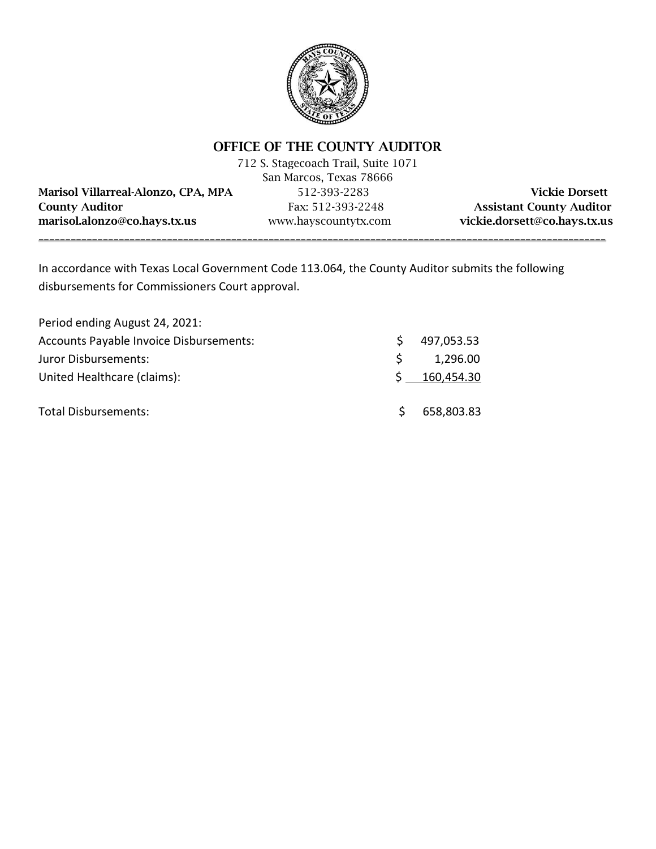

### OFFICE OF THE COUNTY AUDITOR

|                                     | 712 S. Stagecoach Trail, Suite 1071 |                                 |
|-------------------------------------|-------------------------------------|---------------------------------|
|                                     | San Marcos, Texas 78666             |                                 |
| Marisol Villarreal-Alonzo, CPA, MPA | 512-393-2283                        | <b>Vickie Dorsett</b>           |
| <b>County Auditor</b>               | Fax: 512-393-2248                   | <b>Assistant County Auditor</b> |
| marisol.alonzo@co.hays.tx.us        | www.hayscountytx.com                | vickie.dorsett@co.hays.tx.us    |
|                                     |                                     |                                 |

In accordance with Texas Local Government Code 113.064, the County Auditor submits the following disbursements for Commissioners Court approval.

| Period ending August 24, 2021:          |              |            |
|-----------------------------------------|--------------|------------|
| Accounts Payable Invoice Disbursements: | S            | 497,053.53 |
| Juror Disbursements:                    | <sub>S</sub> | 1,296.00   |
| United Healthcare (claims):             |              | 160,454.30 |
| Total Disbursements:                    | $\varsigma$  | 658,803.83 |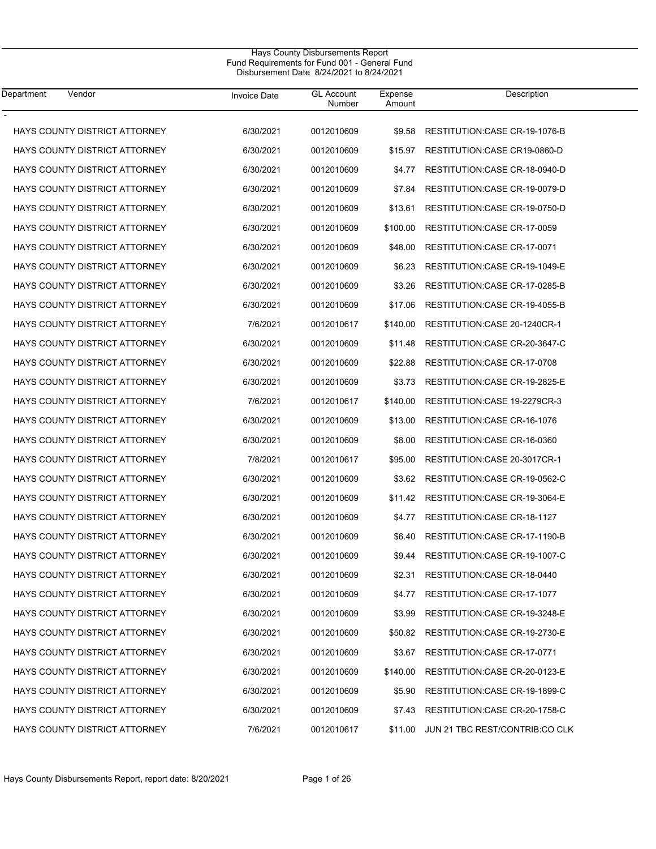#### Hays County Disbursements Report Fund Requirements for Fund 001 - General Fund Disbursement Date 8/24/2021 to 8/24/2021

| Department<br>Vendor                 | <b>Invoice Date</b> | <b>GL Account</b><br>Number | Expense<br>Amount | Description                        |
|--------------------------------------|---------------------|-----------------------------|-------------------|------------------------------------|
| <b>HAYS COUNTY DISTRICT ATTORNEY</b> | 6/30/2021           | 0012010609                  | \$9.58            | RESTITUTION: CASE CR-19-1076-B     |
| HAYS COUNTY DISTRICT ATTORNEY        | 6/30/2021           | 0012010609                  | \$15.97           | RESTITUTION CASE CR19-0860-D       |
| <b>HAYS COUNTY DISTRICT ATTORNEY</b> | 6/30/2021           | 0012010609                  | \$4.77            | RESTITUTION: CASE CR-18-0940-D     |
| <b>HAYS COUNTY DISTRICT ATTORNEY</b> | 6/30/2021           | 0012010609                  | \$7.84            | RESTITUTION: CASE CR-19-0079-D     |
| <b>HAYS COUNTY DISTRICT ATTORNEY</b> | 6/30/2021           | 0012010609                  | \$13.61           | RESTITUTION: CASE CR-19-0750-D     |
| HAYS COUNTY DISTRICT ATTORNEY        | 6/30/2021           | 0012010609                  | \$100.00          | <b>RESTITUTION:CASE CR-17-0059</b> |
| <b>HAYS COUNTY DISTRICT ATTORNEY</b> | 6/30/2021           | 0012010609                  | \$48.00           | RESTITUTION: CASE CR-17-0071       |
| <b>HAYS COUNTY DISTRICT ATTORNEY</b> | 6/30/2021           | 0012010609                  | \$6.23            | RESTITUTION: CASE CR-19-1049-E     |
| <b>HAYS COUNTY DISTRICT ATTORNEY</b> | 6/30/2021           | 0012010609                  | \$3.26            | RESTITUTION: CASE CR-17-0285-B     |
| HAYS COUNTY DISTRICT ATTORNEY        | 6/30/2021           | 0012010609                  | \$17.06           | RESTITUTION: CASE CR-19-4055-B     |
| <b>HAYS COUNTY DISTRICT ATTORNEY</b> | 7/6/2021            | 0012010617                  | \$140.00          | RESTITUTION: CASE 20-1240CR-1      |
| <b>HAYS COUNTY DISTRICT ATTORNEY</b> | 6/30/2021           | 0012010609                  | \$11.48           | RESTITUTION: CASE CR-20-3647-C     |
| HAYS COUNTY DISTRICT ATTORNEY        | 6/30/2021           | 0012010609                  | \$22.88           | <b>RESTITUTION:CASE CR-17-0708</b> |
| HAYS COUNTY DISTRICT ATTORNEY        | 6/30/2021           | 0012010609                  | \$3.73            | RESTITUTION: CASE CR-19-2825-E     |
| <b>HAYS COUNTY DISTRICT ATTORNEY</b> | 7/6/2021            | 0012010617                  | \$140.00          | RESTITUTION: CASE 19-2279CR-3      |
| <b>HAYS COUNTY DISTRICT ATTORNEY</b> | 6/30/2021           | 0012010609                  | \$13.00           | RESTITUTION: CASE CR-16-1076       |
| HAYS COUNTY DISTRICT ATTORNEY        | 6/30/2021           | 0012010609                  | \$8.00            | RESTITUTION: CASE CR-16-0360       |
| <b>HAYS COUNTY DISTRICT ATTORNEY</b> | 7/8/2021            | 0012010617                  | \$95.00           | RESTITUTION: CASE 20-3017CR-1      |
| <b>HAYS COUNTY DISTRICT ATTORNEY</b> | 6/30/2021           | 0012010609                  | \$3.62            | RESTITUTION: CASE CR-19-0562-C     |
| <b>HAYS COUNTY DISTRICT ATTORNEY</b> | 6/30/2021           | 0012010609                  | \$11.42           | RESTITUTION: CASE CR-19-3064-E     |
| HAYS COUNTY DISTRICT ATTORNEY        | 6/30/2021           | 0012010609                  | \$4.77            | RESTITUTION: CASE CR-18-1127       |
| <b>HAYS COUNTY DISTRICT ATTORNEY</b> | 6/30/2021           | 0012010609                  | \$6.40            | RESTITUTION: CASE CR-17-1190-B     |
| <b>HAYS COUNTY DISTRICT ATTORNEY</b> | 6/30/2021           | 0012010609                  | \$9.44            | RESTITUTION: CASE CR-19-1007-C     |
| HAYS COUNTY DISTRICT ATTORNEY        | 6/30/2021           | 0012010609                  | \$2.31            | RESTITUTION: CASE CR-18-0440       |
| <b>HAYS COUNTY DISTRICT ATTORNEY</b> | 6/30/2021           | 0012010609                  | \$4.77            | RESTITUTION: CASE CR-17-1077       |
| HAYS COUNTY DISTRICT ATTORNEY        | 6/30/2021           | 0012010609                  | \$3.99            | RESTITUTION: CASE CR-19-3248-E     |
| HAYS COUNTY DISTRICT ATTORNEY        | 6/30/2021           | 0012010609                  | \$50.82           | RESTITUTION: CASE CR-19-2730-E     |
| HAYS COUNTY DISTRICT ATTORNEY        | 6/30/2021           | 0012010609                  | \$3.67            | RESTITUTION: CASE CR-17-0771       |
| <b>HAYS COUNTY DISTRICT ATTORNEY</b> | 6/30/2021           | 0012010609                  | \$140.00          | RESTITUTION: CASE CR-20-0123-E     |
| HAYS COUNTY DISTRICT ATTORNEY        | 6/30/2021           | 0012010609                  | \$5.90            | RESTITUTION: CASE CR-19-1899-C     |
| HAYS COUNTY DISTRICT ATTORNEY        | 6/30/2021           | 0012010609                  | \$7.43            | RESTITUTION: CASE CR-20-1758-C     |
| HAYS COUNTY DISTRICT ATTORNEY        | 7/6/2021            | 0012010617                  | \$11.00           | JUN 21 TBC REST/CONTRIB:CO CLK     |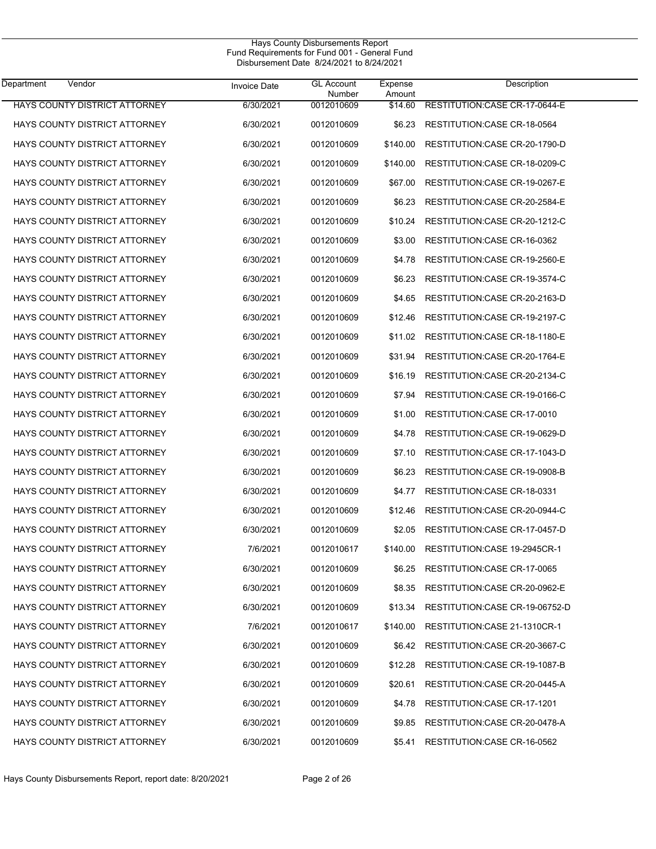#### Hays County Disbursements Report Fund Requirements for Fund 001 - General Fund Disbursement Date 8/24/2021 to 8/24/2021

| Department<br>Vendor                 | <b>Invoice Date</b> | <b>GL Account</b><br>Number | Expense<br>Amount | Description                     |
|--------------------------------------|---------------------|-----------------------------|-------------------|---------------------------------|
| <b>HAYS COUNTY DISTRICT ATTORNEY</b> | 6/30/2021           | 0012010609                  | \$14.60           | RESTITUTION: CASE CR-17-0644-E  |
| HAYS COUNTY DISTRICT ATTORNEY        | 6/30/2021           | 0012010609                  | \$6.23            | RESTITUTION: CASE CR-18-0564    |
| HAYS COUNTY DISTRICT ATTORNEY        | 6/30/2021           | 0012010609                  | \$140.00          | RESTITUTION: CASE CR-20-1790-D  |
| HAYS COUNTY DISTRICT ATTORNEY        | 6/30/2021           | 0012010609                  | \$140.00          | RESTITUTION: CASE CR-18-0209-C  |
| <b>HAYS COUNTY DISTRICT ATTORNEY</b> | 6/30/2021           | 0012010609                  | \$67.00           | RESTITUTION: CASE CR-19-0267-E  |
| HAYS COUNTY DISTRICT ATTORNEY        | 6/30/2021           | 0012010609                  | \$6.23            | RESTITUTION: CASE CR-20-2584-E  |
| HAYS COUNTY DISTRICT ATTORNEY        | 6/30/2021           | 0012010609                  | \$10.24           | RESTITUTION: CASE CR-20-1212-C  |
| HAYS COUNTY DISTRICT ATTORNEY        | 6/30/2021           | 0012010609                  | \$3.00            | RESTITUTION: CASE CR-16-0362    |
| HAYS COUNTY DISTRICT ATTORNEY        | 6/30/2021           | 0012010609                  | \$4.78            | RESTITUTION: CASE CR-19-2560-E  |
| HAYS COUNTY DISTRICT ATTORNEY        | 6/30/2021           | 0012010609                  | \$6.23            | RESTITUTION: CASE CR-19-3574-C  |
| HAYS COUNTY DISTRICT ATTORNEY        | 6/30/2021           | 0012010609                  | \$4.65            | RESTITUTION:CASE CR-20-2163-D   |
| HAYS COUNTY DISTRICT ATTORNEY        | 6/30/2021           | 0012010609                  | \$12.46           | RESTITUTION: CASE CR-19-2197-C  |
| HAYS COUNTY DISTRICT ATTORNEY        | 6/30/2021           | 0012010609                  | \$11.02           | RESTITUTION: CASE CR-18-1180-E  |
| HAYS COUNTY DISTRICT ATTORNEY        | 6/30/2021           | 0012010609                  | \$31.94           | RESTITUTION: CASE CR-20-1764-E  |
| HAYS COUNTY DISTRICT ATTORNEY        | 6/30/2021           | 0012010609                  | \$16.19           | RESTITUTION: CASE CR-20-2134-C  |
| HAYS COUNTY DISTRICT ATTORNEY        | 6/30/2021           | 0012010609                  | \$7.94            | RESTITUTION: CASE CR-19-0166-C  |
| HAYS COUNTY DISTRICT ATTORNEY        | 6/30/2021           | 0012010609                  | \$1.00            | RESTITUTION: CASE CR-17-0010    |
| HAYS COUNTY DISTRICT ATTORNEY        | 6/30/2021           | 0012010609                  | \$4.78            | RESTITUTION: CASE CR-19-0629-D  |
| HAYS COUNTY DISTRICT ATTORNEY        | 6/30/2021           | 0012010609                  | \$7.10            | RESTITUTION: CASE CR-17-1043-D  |
| HAYS COUNTY DISTRICT ATTORNEY        | 6/30/2021           | 0012010609                  | \$6.23            | RESTITUTION: CASE CR-19-0908-B  |
| HAYS COUNTY DISTRICT ATTORNEY        | 6/30/2021           | 0012010609                  | \$4.77            | RESTITUTION: CASE CR-18-0331    |
| HAYS COUNTY DISTRICT ATTORNEY        | 6/30/2021           | 0012010609                  | \$12.46           | RESTITUTION: CASE CR-20-0944-C  |
| <b>HAYS COUNTY DISTRICT ATTORNEY</b> | 6/30/2021           | 0012010609                  | \$2.05            | RESTITUTION: CASE CR-17-0457-D  |
| <b>HAYS COUNTY DISTRICT ATTORNEY</b> | 7/6/2021            | 0012010617                  | \$140.00          | RESTITUTION: CASE 19-2945CR-1   |
| <b>HAYS COUNTY DISTRICT ATTORNEY</b> | 6/30/2021           | 0012010609                  | \$6.25            | RESTITUTION:CASE CR-17-0065     |
| HAYS COUNTY DISTRICT ATTORNEY        | 6/30/2021           | 0012010609                  | \$8.35            | RESTITUTION: CASE CR-20-0962-E  |
| HAYS COUNTY DISTRICT ATTORNEY        | 6/30/2021           | 0012010609                  | \$13.34           | RESTITUTION: CASE CR-19-06752-D |
| HAYS COUNTY DISTRICT ATTORNEY        | 7/6/2021            | 0012010617                  | \$140.00          | RESTITUTION: CASE 21-1310CR-1   |
| <b>HAYS COUNTY DISTRICT ATTORNEY</b> | 6/30/2021           | 0012010609                  | \$6.42            | RESTITUTION: CASE CR-20-3667-C  |
| HAYS COUNTY DISTRICT ATTORNEY        | 6/30/2021           | 0012010609                  | \$12.28           | RESTITUTION: CASE CR-19-1087-B  |
| <b>HAYS COUNTY DISTRICT ATTORNEY</b> | 6/30/2021           | 0012010609                  | \$20.61           | RESTITUTION: CASE CR-20-0445-A  |
| HAYS COUNTY DISTRICT ATTORNEY        | 6/30/2021           | 0012010609                  | \$4.78            | RESTITUTION: CASE CR-17-1201    |
| HAYS COUNTY DISTRICT ATTORNEY        | 6/30/2021           | 0012010609                  | \$9.85            | RESTITUTION: CASE CR-20-0478-A  |
| HAYS COUNTY DISTRICT ATTORNEY        | 6/30/2021           | 0012010609                  | \$5.41            | RESTITUTION: CASE CR-16-0562    |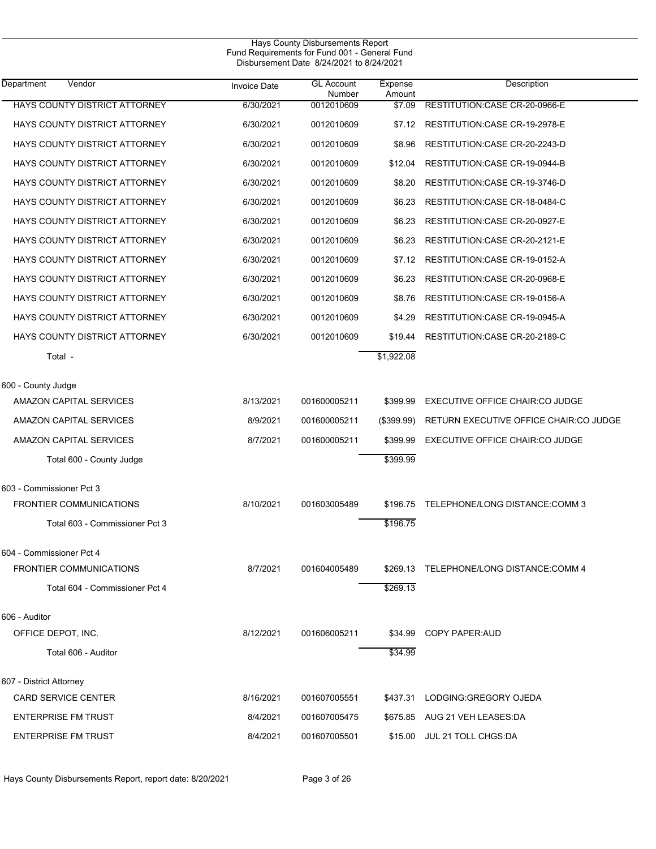| Vendor<br>Department                 | <b>Invoice Date</b> | <b>GL</b> Account    | Expense          | Description                             |
|--------------------------------------|---------------------|----------------------|------------------|-----------------------------------------|
| HAYS COUNTY DISTRICT ATTORNEY        | 6/30/2021           | Number<br>0012010609 | Amount<br>\$7.09 | RESTITUTION CASE CR-20-0966-E           |
| HAYS COUNTY DISTRICT ATTORNEY        | 6/30/2021           | 0012010609           | \$7.12           | RESTITUTION: CASE CR-19-2978-E          |
| HAYS COUNTY DISTRICT ATTORNEY        | 6/30/2021           | 0012010609           | \$8.96           | RESTITUTION: CASE CR-20-2243-D          |
| HAYS COUNTY DISTRICT ATTORNEY        | 6/30/2021           | 0012010609           | \$12.04          | RESTITUTION: CASE CR-19-0944-B          |
| <b>HAYS COUNTY DISTRICT ATTORNEY</b> | 6/30/2021           | 0012010609           | \$8.20           | RESTITUTION: CASE CR-19-3746-D          |
| HAYS COUNTY DISTRICT ATTORNEY        | 6/30/2021           | 0012010609           | \$6.23           | RESTITUTION: CASE CR-18-0484-C          |
| HAYS COUNTY DISTRICT ATTORNEY        | 6/30/2021           | 0012010609           | \$6.23           | RESTITUTION: CASE CR-20-0927-E          |
| HAYS COUNTY DISTRICT ATTORNEY        | 6/30/2021           | 0012010609           | \$6.23           | RESTITUTION: CASE CR-20-2121-E          |
| HAYS COUNTY DISTRICT ATTORNEY        | 6/30/2021           | 0012010609           | \$7.12           | RESTITUTION: CASE CR-19-0152-A          |
| HAYS COUNTY DISTRICT ATTORNEY        | 6/30/2021           | 0012010609           | \$6.23           | RESTITUTION: CASE CR-20-0968-E          |
| <b>HAYS COUNTY DISTRICT ATTORNEY</b> | 6/30/2021           | 0012010609           | \$8.76           | RESTITUTION: CASE CR-19-0156-A          |
| HAYS COUNTY DISTRICT ATTORNEY        | 6/30/2021           | 0012010609           | \$4.29           | RESTITUTION: CASE CR-19-0945-A          |
| HAYS COUNTY DISTRICT ATTORNEY        | 6/30/2021           | 0012010609           | \$19.44          | RESTITUTION: CASE CR-20-2189-C          |
| Total -                              |                     |                      | \$1,922.08       |                                         |
| 600 - County Judge                   |                     |                      |                  |                                         |
| AMAZON CAPITAL SERVICES              | 8/13/2021           | 001600005211         | \$399.99         | EXECUTIVE OFFICE CHAIR:CO JUDGE         |
| AMAZON CAPITAL SERVICES              | 8/9/2021            | 001600005211         | (\$399.99)       | RETURN EXECUTIVE OFFICE CHAIR:CO JUDGE  |
| AMAZON CAPITAL SERVICES              | 8/7/2021            | 001600005211         | \$399.99         | EXECUTIVE OFFICE CHAIR:CO JUDGE         |
| Total 600 - County Judge             |                     |                      | \$399.99         |                                         |
| 603 - Commissioner Pct 3             |                     |                      |                  |                                         |
| <b>FRONTIER COMMUNICATIONS</b>       | 8/10/2021           | 001603005489         |                  | \$196.75 TELEPHONE/LONG DISTANCE:COMM 3 |
| Total 603 - Commissioner Pct 3       |                     |                      | \$196.75         |                                         |
| 604 - Commissioner Pct 4             |                     |                      |                  |                                         |
| <b>FRONTIER COMMUNICATIONS</b>       | 8/7/2021            | 001604005489         |                  | \$269.13 TELEPHONE/LONG DISTANCE:COMM 4 |
| Total 604 - Commissioner Pct 4       |                     |                      | \$269.13         |                                         |
| 606 - Auditor                        |                     |                      |                  |                                         |
| OFFICE DEPOT, INC.                   | 8/12/2021           | 001606005211         | \$34.99          | COPY PAPER: AUD                         |
| Total 606 - Auditor                  |                     |                      | \$34.99          |                                         |
| 607 - District Attorney              |                     |                      |                  |                                         |
| CARD SERVICE CENTER                  | 8/16/2021           | 001607005551         |                  | \$437.31 LODGING: GREGORY OJEDA         |
| <b>ENTERPRISE FM TRUST</b>           | 8/4/2021            | 001607005475         |                  | \$675.85 AUG 21 VEH LEASES:DA           |
| <b>ENTERPRISE FM TRUST</b>           | 8/4/2021            | 001607005501         |                  | \$15.00 JUL 21 TOLL CHGS:DA             |

Hays County Disbursements Report, report date: 8/20/2021 Page 3 of 26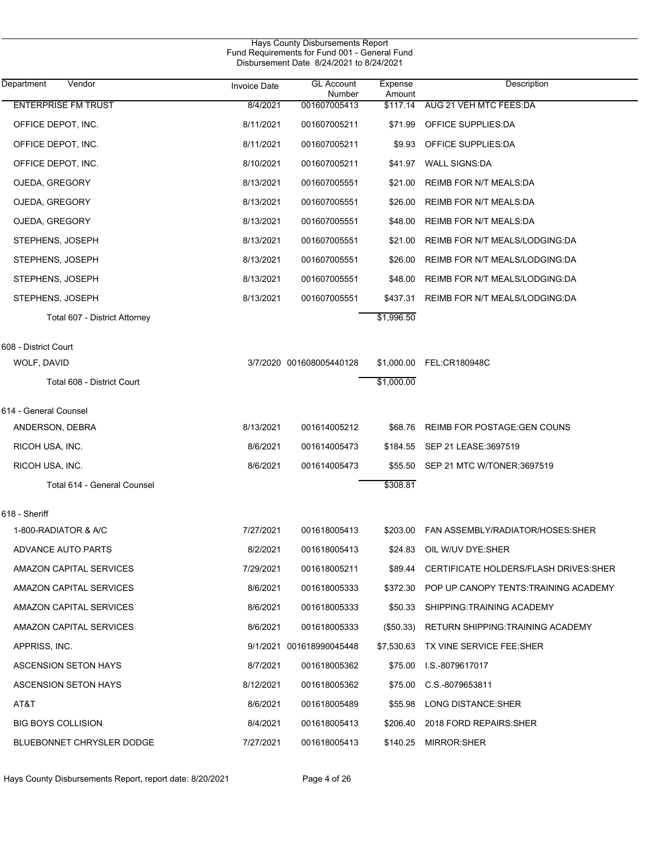|                                     |                     | Hays County Disbursements Report<br>Fund Requirements for Fund 001 - General Fund<br>Disbursement Date 8/24/2021 to 8/24/2021 |                   |                                           |  |
|-------------------------------------|---------------------|-------------------------------------------------------------------------------------------------------------------------------|-------------------|-------------------------------------------|--|
| $\overline{V}$ endor<br>Department  | <b>Invoice Date</b> | <b>GL Account</b><br>Number                                                                                                   | Expense<br>Amount | Description                               |  |
| <b>ENTERPRISE FM TRUST</b>          | 8/4/2021            | 001607005413                                                                                                                  | \$117.14          | AUG 21 VEH MTC FEES:DA                    |  |
| OFFICE DEPOT, INC.                  | 8/11/2021           | 001607005211                                                                                                                  | \$71.99           | OFFICE SUPPLIES:DA                        |  |
| OFFICE DEPOT, INC.                  | 8/11/2021           | 001607005211                                                                                                                  | \$9.93            | OFFICE SUPPLIES:DA                        |  |
| OFFICE DEPOT, INC.                  | 8/10/2021           | 001607005211                                                                                                                  | \$41.97           | <b>WALL SIGNS:DA</b>                      |  |
| OJEDA, GREGORY                      | 8/13/2021           | 001607005551                                                                                                                  | \$21.00           | <b>REIMB FOR N/T MEALS:DA</b>             |  |
| OJEDA, GREGORY                      | 8/13/2021           | 001607005551                                                                                                                  | \$26.00           | <b>REIMB FOR N/T MEALS:DA</b>             |  |
| OJEDA, GREGORY                      | 8/13/2021           | 001607005551                                                                                                                  | \$48.00           | <b>REIMB FOR N/T MEALS:DA</b>             |  |
| STEPHENS, JOSEPH                    | 8/13/2021           | 001607005551                                                                                                                  | \$21.00           | REIMB FOR N/T MEALS/LODGING:DA            |  |
| STEPHENS, JOSEPH                    | 8/13/2021           | 001607005551                                                                                                                  | \$26.00           | REIMB FOR N/T MEALS/LODGING:DA            |  |
| STEPHENS, JOSEPH                    | 8/13/2021           | 001607005551                                                                                                                  | \$48.00           | REIMB FOR N/T MEALS/LODGING:DA            |  |
| STEPHENS, JOSEPH                    | 8/13/2021           | 001607005551                                                                                                                  | \$437.31          | REIMB FOR N/T MEALS/LODGING:DA            |  |
| Total 607 - District Attorney       |                     |                                                                                                                               | \$1,996.50        |                                           |  |
|                                     |                     |                                                                                                                               |                   |                                           |  |
| 608 - District Court<br>WOLF, DAVID |                     | 3/7/2020 001608005440128                                                                                                      |                   | \$1,000.00 FEL:CR180948C                  |  |
| Total 608 - District Court          |                     |                                                                                                                               | \$1,000.00        |                                           |  |
|                                     |                     |                                                                                                                               |                   |                                           |  |
| 614 - General Counsel               |                     |                                                                                                                               |                   |                                           |  |
| ANDERSON, DEBRA                     | 8/13/2021           | 001614005212                                                                                                                  | \$68.76           | <b>REIMB FOR POSTAGE: GEN COUNS</b>       |  |
| RICOH USA, INC.                     | 8/6/2021            | 001614005473                                                                                                                  |                   | \$184.55 SEP 21 LEASE:3697519             |  |
| RICOH USA, INC.                     | 8/6/2021            | 001614005473                                                                                                                  | \$55.50           | SEP 21 MTC W/TONER:3697519                |  |
| Total 614 - General Counsel         |                     |                                                                                                                               | \$308.81          |                                           |  |
| 618 - Sheriff                       |                     |                                                                                                                               |                   |                                           |  |
| 1-800-RADIATOR & A/C                | 7/27/2021           | 001618005413                                                                                                                  |                   | \$203.00 FAN ASSEMBLY/RADIATOR/HOSES:SHER |  |
| ADVANCE AUTO PARTS                  | 8/2/2021            | 001618005413                                                                                                                  | \$24.83           | OIL W/UV DYE:SHER                         |  |
| AMAZON CAPITAL SERVICES             | 7/29/2021           | 001618005211                                                                                                                  | \$89.44           | CERTIFICATE HOLDERS/FLASH DRIVES: SHER    |  |
| AMAZON CAPITAL SERVICES             | 8/6/2021            | 001618005333                                                                                                                  | \$372.30          | POP UP CANOPY TENTS: TRAINING ACADEMY     |  |
| AMAZON CAPITAL SERVICES             | 8/6/2021            | 001618005333                                                                                                                  | \$50.33           | SHIPPING:TRAINING ACADEMY                 |  |
| AMAZON CAPITAL SERVICES             | 8/6/2021            | 001618005333                                                                                                                  | $(\$50.33)$       | RETURN SHIPPING TRAINING ACADEMY          |  |
| APPRISS, INC.                       |                     | 9/1/2021 001618990045448                                                                                                      |                   | \$7,530.63 TX VINE SERVICE FEE:SHER       |  |
| ASCENSION SETON HAYS                | 8/7/2021            | 001618005362                                                                                                                  | \$75.00           | I.S.-8079617017                           |  |
| ASCENSION SETON HAYS                | 8/12/2021           | 001618005362                                                                                                                  | \$75.00           | C.S.-8079653811                           |  |
| AT&T                                | 8/6/2021            | 001618005489                                                                                                                  | \$55.98           | LONG DISTANCE:SHER                        |  |
| <b>BIG BOYS COLLISION</b>           | 8/4/2021            | 001618005413                                                                                                                  | \$206.40          | 2018 FORD REPAIRS: SHER                   |  |
| <b>BLUEBONNET CHRYSLER DODGE</b>    | 7/27/2021           | 001618005413                                                                                                                  | \$140.25          | MIRROR: SHER                              |  |

Hays County Disbursements Report, report date: 8/20/2021 Page 4 of 26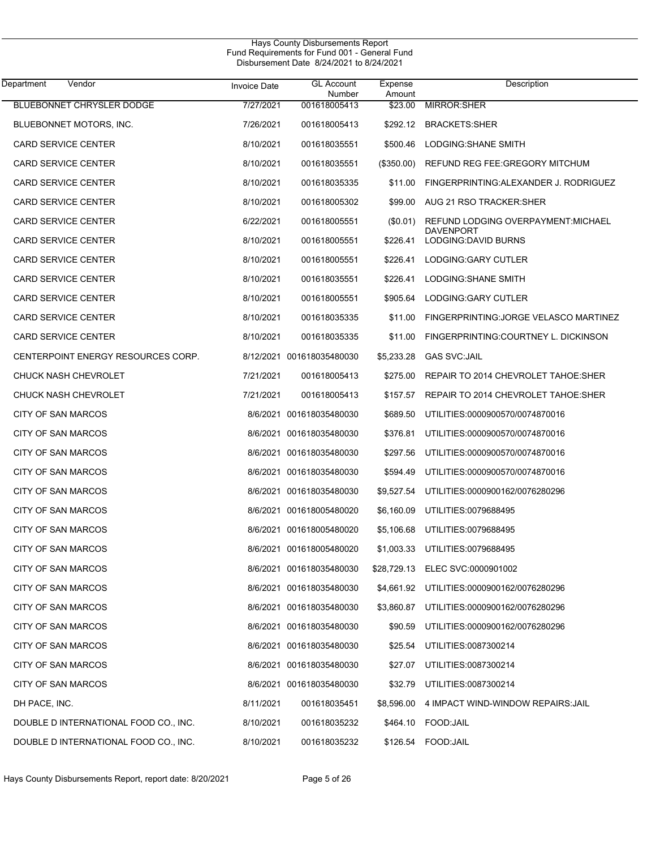#### Hays County Disbursements Report Fund Requirements for Fund 001 - General Fund Disbursement Date 8/24/2021 to 8/24/2021

| Department<br>Vendor                  | <b>Invoice Date</b> | <b>GL Account</b><br>Number | Expense<br>Amount | Description                                |
|---------------------------------------|---------------------|-----------------------------|-------------------|--------------------------------------------|
| <b>BLUEBONNET CHRYSLER DODGE</b>      | 7/27/2021           | 001618005413                | \$23.00           | <b>MIRROR: SHER</b>                        |
| BLUEBONNET MOTORS, INC.               | 7/26/2021           | 001618005413                | \$292.12          | <b>BRACKETS:SHER</b>                       |
| <b>CARD SERVICE CENTER</b>            | 8/10/2021           | 001618035551                | \$500.46          | LODGING: SHANE SMITH                       |
| <b>CARD SERVICE CENTER</b>            | 8/10/2021           | 001618035551                | $(\$350.00)$      | REFUND REG FEE: GREGORY MITCHUM            |
| <b>CARD SERVICE CENTER</b>            | 8/10/2021           | 001618035335                | \$11.00           | FINGERPRINTING: ALEXANDER J. RODRIGUEZ     |
| <b>CARD SERVICE CENTER</b>            | 8/10/2021           | 001618005302                | \$99.00           | AUG 21 RSO TRACKER: SHER                   |
| <b>CARD SERVICE CENTER</b>            | 6/22/2021           | 001618005551                | (\$0.01)          | REFUND LODGING OVERPAYMENT: MICHAEL        |
| <b>CARD SERVICE CENTER</b>            | 8/10/2021           | 001618005551                | \$226.41          | <b>DAVENPORT</b><br>LODGING:DAVID BURNS    |
| <b>CARD SERVICE CENTER</b>            | 8/10/2021           | 001618005551                | \$226.41          | LODGING:GARY CUTLER                        |
| <b>CARD SERVICE CENTER</b>            | 8/10/2021           | 001618035551                | \$226.41          | LODGING: SHANE SMITH                       |
| <b>CARD SERVICE CENTER</b>            | 8/10/2021           | 001618005551                | \$905.64          | LODGING:GARY CUTLER                        |
| <b>CARD SERVICE CENTER</b>            | 8/10/2021           | 001618035335                | \$11.00           | FINGERPRINTING: JORGE VELASCO MARTINEZ     |
| <b>CARD SERVICE CENTER</b>            | 8/10/2021           | 001618035335                | \$11.00           | FINGERPRINTING: COURTNEY L. DICKINSON      |
| CENTERPOINT ENERGY RESOURCES CORP.    |                     | 8/12/2021 001618035480030   | \$5,233.28        | <b>GAS SVC:JAIL</b>                        |
| <b>CHUCK NASH CHEVROLET</b>           | 7/21/2021           | 001618005413                | \$275.00          | REPAIR TO 2014 CHEVROLET TAHOE: SHER       |
| CHUCK NASH CHEVROLET                  | 7/21/2021           | 001618005413                | \$157.57          | REPAIR TO 2014 CHEVROLET TAHOE SHER        |
| CITY OF SAN MARCOS                    |                     | 8/6/2021 001618035480030    | \$689.50          | UTILITIES:0000900570/0074870016            |
| CITY OF SAN MARCOS                    |                     | 8/6/2021 001618035480030    | \$376.81          | UTILITIES:0000900570/0074870016            |
| CITY OF SAN MARCOS                    |                     | 8/6/2021 001618035480030    | \$297.56          | UTILITIES:0000900570/0074870016            |
| CITY OF SAN MARCOS                    |                     | 8/6/2021 001618035480030    | \$594.49          | UTILITIES:0000900570/0074870016            |
| CITY OF SAN MARCOS                    |                     | 8/6/2021 001618035480030    | \$9,527.54        | UTILITIES:0000900162/0076280296            |
| CITY OF SAN MARCOS                    |                     | 8/6/2021 001618005480020    | \$6,160.09        | UTILITIES:0079688495                       |
| CITY OF SAN MARCOS                    |                     | 8/6/2021 001618005480020    | \$5,106.68        | UTILITIES:0079688495                       |
| CITY OF SAN MARCOS                    |                     | 8/6/2021 001618005480020    | \$1,003.33        | UTILITIES:0079688495                       |
| CITY OF SAN MARCOS                    |                     | 8/6/2021 001618035480030    |                   | \$28,729.13 ELEC SVC:0000901002            |
| <b>CITY OF SAN MARCOS</b>             |                     | 8/6/2021 001618035480030    |                   | \$4,661.92 UTILITIES:0000900162/0076280296 |
| CITY OF SAN MARCOS                    |                     | 8/6/2021 001618035480030    | \$3,860.87        | UTILITIES:0000900162/0076280296            |
| CITY OF SAN MARCOS                    |                     | 8/6/2021 001618035480030    | \$90.59           | UTILITIES:0000900162/0076280296            |
| CITY OF SAN MARCOS                    |                     | 8/6/2021 001618035480030    | \$25.54           | UTILITIES:0087300214                       |
| <b>CITY OF SAN MARCOS</b>             |                     | 8/6/2021 001618035480030    | \$27.07           | UTILITIES:0087300214                       |
| CITY OF SAN MARCOS                    |                     | 8/6/2021 001618035480030    | \$32.79           | UTILITIES:0087300214                       |
| DH PACE, INC.                         | 8/11/2021           | 001618035451                | \$8,596.00        | 4 IMPACT WIND-WINDOW REPAIRS: JAIL         |
| DOUBLE D INTERNATIONAL FOOD CO., INC. | 8/10/2021           | 001618035232                |                   | \$464.10 FOOD: JAIL                        |
| DOUBLE D INTERNATIONAL FOOD CO., INC. | 8/10/2021           | 001618035232                | \$126.54          | FOOD:JAIL                                  |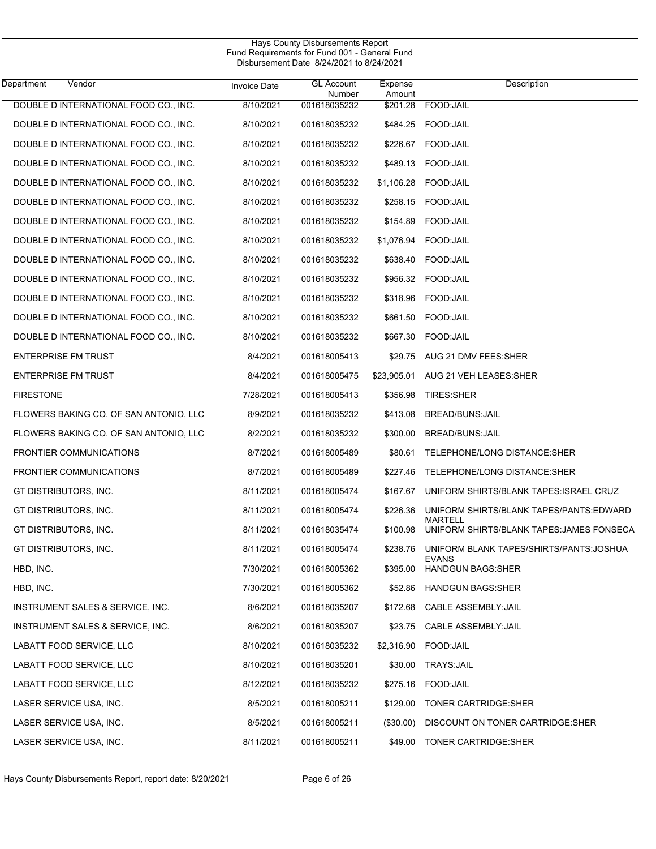| Hays County Disbursements Report<br>Fund Requirements for Fund 001 - General Fund<br>Disbursement Date 8/24/2021 to 8/24/2021 |                     |                             |                   |                                                      |  |  |  |
|-------------------------------------------------------------------------------------------------------------------------------|---------------------|-----------------------------|-------------------|------------------------------------------------------|--|--|--|
| Vendor<br>Department                                                                                                          | <b>Invoice Date</b> | <b>GL Account</b><br>Number | Expense<br>Amount | Description                                          |  |  |  |
| DOUBLE D INTERNATIONAL FOOD CO., INC.                                                                                         | 8/10/2021           | 001618035232                | \$201.28          | FOOD: JAIL                                           |  |  |  |
| DOUBLE D INTERNATIONAL FOOD CO., INC.                                                                                         | 8/10/2021           | 001618035232                |                   | \$484.25 FOOD:JAIL                                   |  |  |  |
| DOUBLE D INTERNATIONAL FOOD CO., INC.                                                                                         | 8/10/2021           | 001618035232                | \$226.67          | FOOD: JAIL                                           |  |  |  |
| DOUBLE D INTERNATIONAL FOOD CO., INC.                                                                                         | 8/10/2021           | 001618035232                | \$489.13          | FOOD:JAIL                                            |  |  |  |
| DOUBLE D INTERNATIONAL FOOD CO., INC.                                                                                         | 8/10/2021           | 001618035232                | \$1,106.28        | FOOD:JAIL                                            |  |  |  |
| DOUBLE D INTERNATIONAL FOOD CO., INC.                                                                                         | 8/10/2021           | 001618035232                | \$258.15          | FOOD:JAIL                                            |  |  |  |
| DOUBLE D INTERNATIONAL FOOD CO., INC.                                                                                         | 8/10/2021           | 001618035232                | \$154.89          | FOOD:JAIL                                            |  |  |  |
| DOUBLE D INTERNATIONAL FOOD CO., INC.                                                                                         | 8/10/2021           | 001618035232                | \$1,076.94        | FOOD:JAIL                                            |  |  |  |
| DOUBLE D INTERNATIONAL FOOD CO., INC.                                                                                         | 8/10/2021           | 001618035232                | \$638.40          | FOOD:JAIL                                            |  |  |  |
| DOUBLE D INTERNATIONAL FOOD CO., INC.                                                                                         | 8/10/2021           | 001618035232                | \$956.32          | FOOD:JAIL                                            |  |  |  |
| DOUBLE D INTERNATIONAL FOOD CO., INC.                                                                                         | 8/10/2021           | 001618035232                | \$318.96          | FOOD:JAIL                                            |  |  |  |
| DOUBLE D INTERNATIONAL FOOD CO., INC.                                                                                         | 8/10/2021           | 001618035232                | \$661.50          | FOOD: JAIL                                           |  |  |  |
| DOUBLE D INTERNATIONAL FOOD CO., INC.                                                                                         | 8/10/2021           | 001618035232                | \$667.30          | FOOD: JAIL                                           |  |  |  |
| <b>ENTERPRISE FM TRUST</b>                                                                                                    | 8/4/2021            | 001618005413                | \$29.75           | AUG 21 DMV FEES:SHER                                 |  |  |  |
| <b>ENTERPRISE FM TRUST</b>                                                                                                    | 8/4/2021            | 001618005475                | \$23,905.01       | AUG 21 VEH LEASES:SHER                               |  |  |  |
| <b>FIRESTONE</b>                                                                                                              | 7/28/2021           | 001618005413                | \$356.98          | TIRES:SHER                                           |  |  |  |
| FLOWERS BAKING CO. OF SAN ANTONIO, LLC                                                                                        | 8/9/2021            | 001618035232                | \$413.08          | BREAD/BUNS: JAIL                                     |  |  |  |
| FLOWERS BAKING CO. OF SAN ANTONIO, LLC                                                                                        | 8/2/2021            | 001618035232                | \$300.00          | <b>BREAD/BUNS:JAIL</b>                               |  |  |  |
| <b>FRONTIER COMMUNICATIONS</b>                                                                                                | 8/7/2021            | 001618005489                | \$80.61           | TELEPHONE/LONG DISTANCE:SHER                         |  |  |  |
| <b>FRONTIER COMMUNICATIONS</b>                                                                                                | 8/7/2021            | 001618005489                | \$227.46          | TELEPHONE/LONG DISTANCE:SHER                         |  |  |  |
| GT DISTRIBUTORS, INC.                                                                                                         | 8/11/2021           | 001618005474                | \$167.67          | UNIFORM SHIRTS/BLANK TAPES: ISRAEL CRUZ              |  |  |  |
| GT DISTRIBUTORS, INC.                                                                                                         | 8/11/2021           | 001618005474                | \$226.36          | UNIFORM SHIRTS/BLANK TAPES/PANTS: EDWARD             |  |  |  |
| GT DISTRIBUTORS, INC.                                                                                                         | 8/11/2021           | 001618035474                | \$100.98          | MARTELL<br>UNIFORM SHIRTS/BLANK TAPES: JAMES FONSECA |  |  |  |
| GT DISTRIBUTORS, INC.                                                                                                         | 8/11/2021           | 001618005474                | \$238.76          | UNIFORM BLANK TAPES/SHIRTS/PANTS: JOSHUA             |  |  |  |
| HBD, INC.                                                                                                                     | 7/30/2021           | 001618005362                | \$395.00          | EVANS<br><b>HANDGUN BAGS:SHER</b>                    |  |  |  |
| HBD, INC.                                                                                                                     | 7/30/2021           | 001618005362                | \$52.86           | <b>HANDGUN BAGS:SHER</b>                             |  |  |  |
| INSTRUMENT SALES & SERVICE, INC.                                                                                              | 8/6/2021            | 001618035207                | \$172.68          | CABLE ASSEMBLY: JAIL                                 |  |  |  |
| INSTRUMENT SALES & SERVICE, INC.                                                                                              | 8/6/2021            | 001618035207                | \$23.75           | CABLE ASSEMBLY: JAIL                                 |  |  |  |
| LABATT FOOD SERVICE, LLC                                                                                                      | 8/10/2021           | 001618035232                | \$2,316.90        | FOOD: JAIL                                           |  |  |  |
| LABATT FOOD SERVICE, LLC                                                                                                      | 8/10/2021           | 001618035201                | \$30.00           | <b>TRAYS:JAIL</b>                                    |  |  |  |
| LABATT FOOD SERVICE, LLC                                                                                                      | 8/12/2021           | 001618035232                | \$275.16          | FOOD: JAIL                                           |  |  |  |
| LASER SERVICE USA, INC.                                                                                                       | 8/5/2021            | 001618005211                | \$129.00          | TONER CARTRIDGE:SHER                                 |  |  |  |
| LASER SERVICE USA, INC.                                                                                                       | 8/5/2021            | 001618005211                | (\$30.00)         | DISCOUNT ON TONER CARTRIDGE: SHER                    |  |  |  |
| LASER SERVICE USA, INC.                                                                                                       | 8/11/2021           | 001618005211                | \$49.00           | TONER CARTRIDGE:SHER                                 |  |  |  |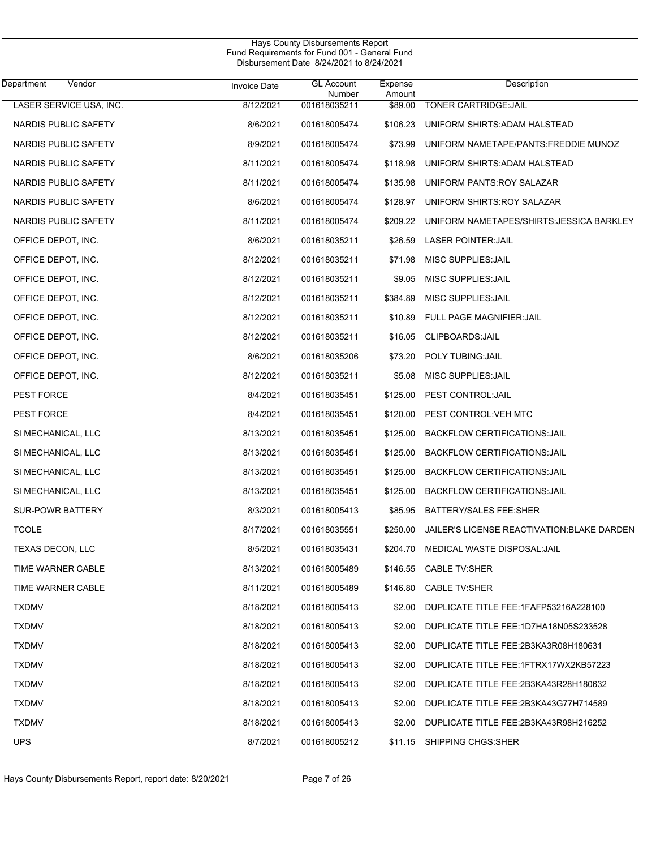| Hays County Disbursements Report<br>Fund Requirements for Fund 001 - General Fund<br>Disbursement Date 8/24/2021 to 8/24/2021 |                     |                             |                   |                                             |  |  |
|-------------------------------------------------------------------------------------------------------------------------------|---------------------|-----------------------------|-------------------|---------------------------------------------|--|--|
| <b>Department</b><br>Vendor                                                                                                   | <b>Invoice Date</b> | <b>GL Account</b><br>Number | Expense<br>Amount | Description                                 |  |  |
| LASER SERVICE USA, INC.                                                                                                       | 8/12/2021           | 001618035211                | \$89.00           | <b>TONER CARTRIDGE: JAIL</b>                |  |  |
| NARDIS PUBLIC SAFETY                                                                                                          | 8/6/2021            | 001618005474                | \$106.23          | UNIFORM SHIRTS: ADAM HALSTEAD               |  |  |
| NARDIS PUBLIC SAFETY                                                                                                          | 8/9/2021            | 001618005474                | \$73.99           | UNIFORM NAMETAPE/PANTS:FREDDIE MUNOZ        |  |  |
| NARDIS PUBLIC SAFETY                                                                                                          | 8/11/2021           | 001618005474                | \$118.98          | UNIFORM SHIRTS: ADAM HALSTEAD               |  |  |
| NARDIS PUBLIC SAFETY                                                                                                          | 8/11/2021           | 001618005474                | \$135.98          | UNIFORM PANTS: ROY SALAZAR                  |  |  |
| NARDIS PUBLIC SAFETY                                                                                                          | 8/6/2021            | 001618005474                | \$128.97          | UNIFORM SHIRTS: ROY SALAZAR                 |  |  |
| NARDIS PUBLIC SAFETY                                                                                                          | 8/11/2021           | 001618005474                | \$209.22          | UNIFORM NAMETAPES/SHIRTS: JESSICA BARKLEY   |  |  |
| OFFICE DEPOT, INC.                                                                                                            | 8/6/2021            | 001618035211                | \$26.59           | <b>LASER POINTER: JAIL</b>                  |  |  |
| OFFICE DEPOT, INC.                                                                                                            | 8/12/2021           | 001618035211                | \$71.98           | MISC SUPPLIES: JAIL                         |  |  |
| OFFICE DEPOT, INC.                                                                                                            | 8/12/2021           | 001618035211                | \$9.05            | MISC SUPPLIES: JAIL                         |  |  |
| OFFICE DEPOT, INC.                                                                                                            | 8/12/2021           | 001618035211                | \$384.89          | MISC SUPPLIES: JAIL                         |  |  |
| OFFICE DEPOT, INC.                                                                                                            | 8/12/2021           | 001618035211                | \$10.89           | FULL PAGE MAGNIFIER: JAIL                   |  |  |
| OFFICE DEPOT, INC.                                                                                                            | 8/12/2021           | 001618035211                | \$16.05           | CLIPBOARDS: JAIL                            |  |  |
| OFFICE DEPOT, INC.                                                                                                            | 8/6/2021            | 001618035206                | \$73.20           | POLY TUBING: JAIL                           |  |  |
| OFFICE DEPOT, INC.                                                                                                            | 8/12/2021           | 001618035211                | \$5.08            | MISC SUPPLIES: JAIL                         |  |  |
| PEST FORCE                                                                                                                    | 8/4/2021            | 001618035451                | \$125.00          | PEST CONTROL: JAIL                          |  |  |
| PEST FORCE                                                                                                                    | 8/4/2021            | 001618035451                | \$120.00          | PEST CONTROL: VEH MTC                       |  |  |
| SI MECHANICAL, LLC                                                                                                            | 8/13/2021           | 001618035451                | \$125.00          | <b>BACKFLOW CERTIFICATIONS: JAIL</b>        |  |  |
| SI MECHANICAL, LLC                                                                                                            | 8/13/2021           | 001618035451                | \$125.00          | <b>BACKFLOW CERTIFICATIONS: JAIL</b>        |  |  |
| SI MECHANICAL, LLC                                                                                                            | 8/13/2021           | 001618035451                | \$125.00          | <b>BACKFLOW CERTIFICATIONS: JAIL</b>        |  |  |
| SI MECHANICAL, LLC                                                                                                            | 8/13/2021           | 001618035451                | \$125.00          | BACKFLOW CERTIFICATIONS: JAIL               |  |  |
| <b>SUR-POWR BATTERY</b>                                                                                                       | 8/3/2021            | 001618005413                | \$85.95           | BATTERY/SALES FEE:SHER                      |  |  |
| <b>TCOLE</b>                                                                                                                  | 8/17/2021           | 001618035551                | \$250.00          | JAILER'S LICENSE REACTIVATION: BLAKE DARDEN |  |  |
| TEXAS DECON, LLC                                                                                                              | 8/5/2021            | 001618035431                | \$204.70          | MEDICAL WASTE DISPOSAL:JAIL                 |  |  |
| TIME WARNER CABLE                                                                                                             | 8/13/2021           | 001618005489                | \$146.55          | <b>CABLE TV:SHER</b>                        |  |  |
| TIME WARNER CABLE                                                                                                             | 8/11/2021           | 001618005489                | \$146.80          | <b>CABLE TV:SHER</b>                        |  |  |
| <b>TXDMV</b>                                                                                                                  | 8/18/2021           | 001618005413                | \$2.00            | DUPLICATE TITLE FEE: 1FAFP53216A228100      |  |  |
| <b>TXDMV</b>                                                                                                                  | 8/18/2021           | 001618005413                | \$2.00            | DUPLICATE TITLE FEE:1D7HA18N05S233528       |  |  |
| <b>TXDMV</b>                                                                                                                  | 8/18/2021           | 001618005413                | \$2.00            | DUPLICATE TITLE FEE: 2B3KA3R08H180631       |  |  |
| <b>TXDMV</b>                                                                                                                  | 8/18/2021           | 001618005413                | \$2.00            | DUPLICATE TITLE FEE:1FTRX17WX2KB57223       |  |  |
| <b>TXDMV</b>                                                                                                                  | 8/18/2021           | 001618005413                | \$2.00            | DUPLICATE TITLE FEE:2B3KA43R28H180632       |  |  |
| <b>TXDMV</b>                                                                                                                  | 8/18/2021           | 001618005413                | \$2.00            | DUPLICATE TITLE FEE:2B3KA43G77H714589       |  |  |
| <b>TXDMV</b>                                                                                                                  | 8/18/2021           | 001618005413                | \$2.00            | DUPLICATE TITLE FEE:2B3KA43R98H216252       |  |  |
| <b>UPS</b>                                                                                                                    | 8/7/2021            | 001618005212                |                   | \$11.15 SHIPPING CHGS: SHER                 |  |  |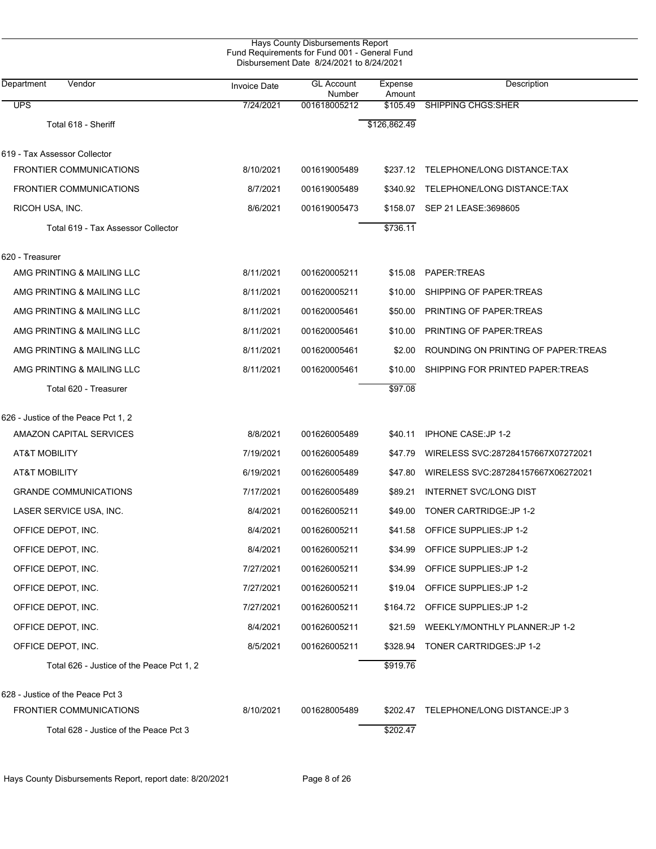| Department<br>Vendor                      | <b>Invoice Date</b> | <b>GL Account</b>      | Expense            | Description                           |
|-------------------------------------------|---------------------|------------------------|--------------------|---------------------------------------|
| <b>UPS</b>                                | 7/24/2021           | Number<br>001618005212 | Amount<br>\$105.49 | <b>SHIPPING CHGS: SHER</b>            |
| Total 618 - Sheriff                       |                     |                        | \$126,862.49       |                                       |
|                                           |                     |                        |                    |                                       |
| 619 - Tax Assessor Collector              |                     |                        |                    |                                       |
| <b>FRONTIER COMMUNICATIONS</b>            | 8/10/2021           | 001619005489           |                    | \$237.12 TELEPHONE/LONG DISTANCE:TAX  |
| <b>FRONTIER COMMUNICATIONS</b>            | 8/7/2021            | 001619005489           | \$340.92           | TELEPHONE/LONG DISTANCE:TAX           |
| RICOH USA, INC.                           | 8/6/2021            | 001619005473           | \$158.07           | SEP 21 LEASE: 3698605                 |
| Total 619 - Tax Assessor Collector        |                     |                        | \$736.11           |                                       |
| 620 - Treasurer                           |                     |                        |                    |                                       |
| AMG PRINTING & MAILING LLC                | 8/11/2021           | 001620005211           | \$15.08            | PAPER:TREAS                           |
| AMG PRINTING & MAILING LLC                | 8/11/2021           | 001620005211           | \$10.00            | SHIPPING OF PAPER TREAS               |
| AMG PRINTING & MAILING LLC                | 8/11/2021           | 001620005461           | \$50.00            | PRINTING OF PAPER: TREAS              |
| AMG PRINTING & MAILING LLC                | 8/11/2021           | 001620005461           | \$10.00            | PRINTING OF PAPER TREAS               |
| AMG PRINTING & MAILING LLC                | 8/11/2021           | 001620005461           | \$2.00             | ROUNDING ON PRINTING OF PAPER TREAS   |
| AMG PRINTING & MAILING LLC                | 8/11/2021           | 001620005461           | \$10.00            | SHIPPING FOR PRINTED PAPER:TREAS      |
| Total 620 - Treasurer                     |                     |                        | \$97.08            |                                       |
| 626 - Justice of the Peace Pct 1, 2       |                     |                        |                    |                                       |
| AMAZON CAPITAL SERVICES                   | 8/8/2021            | 001626005489           | \$40.11            | IPHONE CASE: JP 1-2                   |
| <b>AT&amp;T MOBILITY</b>                  | 7/19/2021           | 001626005489           | \$47.79            | WIRELESS SVC:287284157667X07272021    |
| <b>AT&amp;T MOBILITY</b>                  | 6/19/2021           | 001626005489           | \$47.80            | WIRELESS SVC:287284157667X06272021    |
| <b>GRANDE COMMUNICATIONS</b>              | 7/17/2021           | 001626005489           | \$89.21            | <b>INTERNET SVC/LONG DIST</b>         |
| LASER SERVICE USA, INC.                   | 8/4/2021            | 001626005211           | \$49.00            | TONER CARTRIDGE: JP 1-2               |
| OFFICE DEPOT, INC.                        | 8/4/2021            | 001626005211           | \$41.58            | OFFICE SUPPLIES: JP 1-2               |
| OFFICE DEPOT, INC.                        | 8/4/2021            | 001626005211           | \$34.99            | OFFICE SUPPLIES: JP 1-2               |
| OFFICE DEPOT, INC.                        | 7/27/2021           | 001626005211           | \$34.99            | OFFICE SUPPLIES: JP 1-2               |
| OFFICE DEPOT, INC.                        | 7/27/2021           | 001626005211           | \$19.04            | OFFICE SUPPLIES: JP 1-2               |
| OFFICE DEPOT, INC.                        | 7/27/2021           | 001626005211           |                    | \$164.72 OFFICE SUPPLIES: JP 1-2      |
| OFFICE DEPOT, INC.                        | 8/4/2021            | 001626005211           | \$21.59            | WEEKLY/MONTHLY PLANNER: JP 1-2        |
| OFFICE DEPOT, INC.                        | 8/5/2021            | 001626005211           |                    | \$328.94 TONER CARTRIDGES: JP 1-2     |
| Total 626 - Justice of the Peace Pct 1, 2 |                     |                        | \$919.76           |                                       |
| 628 - Justice of the Peace Pct 3          |                     |                        |                    |                                       |
| <b>FRONTIER COMMUNICATIONS</b>            | 8/10/2021           | 001628005489           |                    | \$202.47 TELEPHONE/LONG DISTANCE:JP 3 |
| Total 628 - Justice of the Peace Pct 3    |                     |                        | \$202.47           |                                       |

Hays County Disbursements Report, report date: 8/20/2021 Page 8 of 26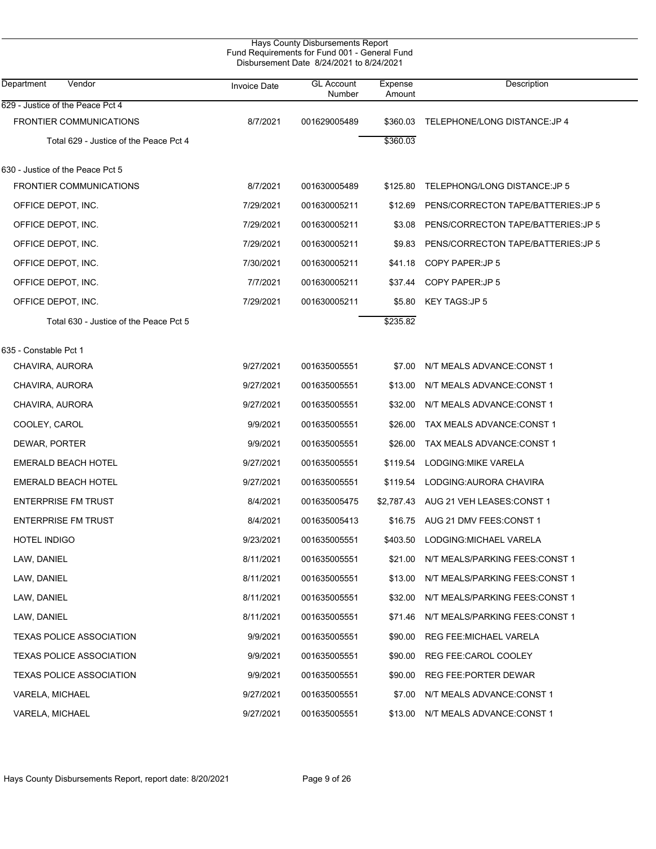|                                        |                     | Hays County Disbursements Report<br>Fund Requirements for Fund 001 - General Fund<br>Disbursement Date 8/24/2021 to 8/24/2021 |                   |                                     |  |
|----------------------------------------|---------------------|-------------------------------------------------------------------------------------------------------------------------------|-------------------|-------------------------------------|--|
| Vendor<br>Department                   | <b>Invoice Date</b> | <b>GL Account</b><br>Number                                                                                                   | Expense<br>Amount | Description                         |  |
| 629 - Justice of the Peace Pct 4       |                     |                                                                                                                               |                   |                                     |  |
| FRONTIER COMMUNICATIONS                | 8/7/2021            | 001629005489                                                                                                                  | \$360.03          | TELEPHONE/LONG DISTANCE: JP 4       |  |
| Total 629 - Justice of the Peace Pct 4 |                     |                                                                                                                               | \$360.03          |                                     |  |
| 630 - Justice of the Peace Pct 5       |                     |                                                                                                                               |                   |                                     |  |
| <b>FRONTIER COMMUNICATIONS</b>         | 8/7/2021            | 001630005489                                                                                                                  | \$125.80          | TELEPHONG/LONG DISTANCE: JP 5       |  |
| OFFICE DEPOT, INC.                     | 7/29/2021           | 001630005211                                                                                                                  | \$12.69           | PENS/CORRECTON TAPE/BATTERIES: JP 5 |  |
| OFFICE DEPOT, INC.                     | 7/29/2021           | 001630005211                                                                                                                  | \$3.08            | PENS/CORRECTON TAPE/BATTERIES: JP 5 |  |
| OFFICE DEPOT, INC.                     | 7/29/2021           | 001630005211                                                                                                                  | \$9.83            | PENS/CORRECTON TAPE/BATTERIES: JP 5 |  |
| OFFICE DEPOT, INC.                     | 7/30/2021           | 001630005211                                                                                                                  | \$41.18           | COPY PAPER: JP 5                    |  |
| OFFICE DEPOT, INC.                     | 7/7/2021            | 001630005211                                                                                                                  | \$37.44           | COPY PAPER: JP 5                    |  |
| OFFICE DEPOT, INC.                     | 7/29/2021           | 001630005211                                                                                                                  | \$5.80            | <b>KEY TAGS:JP 5</b>                |  |
| Total 630 - Justice of the Peace Pct 5 |                     |                                                                                                                               | \$235.82          |                                     |  |
| 635 - Constable Pct 1                  |                     |                                                                                                                               |                   |                                     |  |
| CHAVIRA, AURORA                        | 9/27/2021           | 001635005551                                                                                                                  | \$7.00            | N/T MEALS ADVANCE: CONST 1          |  |
| CHAVIRA, AURORA                        | 9/27/2021           | 001635005551                                                                                                                  | \$13.00           | N/T MEALS ADVANCE: CONST 1          |  |
| CHAVIRA, AURORA                        | 9/27/2021           | 001635005551                                                                                                                  | \$32.00           | N/T MEALS ADVANCE: CONST 1          |  |
| COOLEY, CAROL                          | 9/9/2021            | 001635005551                                                                                                                  | \$26.00           | TAX MEALS ADVANCE: CONST 1          |  |
| DEWAR, PORTER                          | 9/9/2021            | 001635005551                                                                                                                  | \$26.00           | TAX MEALS ADVANCE:CONST 1           |  |
| <b>EMERALD BEACH HOTEL</b>             | 9/27/2021           | 001635005551                                                                                                                  | \$119.54          | LODGING: MIKE VARELA                |  |
| <b>EMERALD BEACH HOTEL</b>             | 9/27/2021           | 001635005551                                                                                                                  | \$119.54          | LODGING: AURORA CHAVIRA             |  |
| <b>ENTERPRISE FM TRUST</b>             | 8/4/2021            | 001635005475                                                                                                                  | \$2.787.43        | AUG 21 VEH LEASES:CONST 1           |  |
| <b>ENTERPRISE FM TRUST</b>             | 8/4/2021            | 001635005413                                                                                                                  |                   | \$16.75 AUG 21 DMV FEES:CONST 1     |  |
| <b>HOTEL INDIGO</b>                    | 9/23/2021           | 001635005551                                                                                                                  | \$403.50          | LODGING: MICHAEL VARELA             |  |
| LAW, DANIEL                            | 8/11/2021           | 001635005551                                                                                                                  | \$21.00           | N/T MEALS/PARKING FEES: CONST 1     |  |
| LAW, DANIEL                            | 8/11/2021           | 001635005551                                                                                                                  | \$13.00           | N/T MEALS/PARKING FEES: CONST 1     |  |
| LAW, DANIEL                            | 8/11/2021           | 001635005551                                                                                                                  | \$32.00           | N/T MEALS/PARKING FEES:CONST 1      |  |
| LAW, DANIEL                            | 8/11/2021           | 001635005551                                                                                                                  | \$71.46           | N/T MEALS/PARKING FEES:CONST 1      |  |
| <b>TEXAS POLICE ASSOCIATION</b>        | 9/9/2021            | 001635005551                                                                                                                  | \$90.00           | REG FEE: MICHAEL VARELA             |  |
| <b>TEXAS POLICE ASSOCIATION</b>        | 9/9/2021            | 001635005551                                                                                                                  | \$90.00           | REG FEE:CAROL COOLEY                |  |
| <b>TEXAS POLICE ASSOCIATION</b>        | 9/9/2021            | 001635005551                                                                                                                  | \$90.00           | REG FEE: PORTER DEWAR               |  |
| VARELA, MICHAEL                        | 9/27/2021           | 001635005551                                                                                                                  | \$7.00            | N/T MEALS ADVANCE:CONST 1           |  |
| VARELA, MICHAEL                        | 9/27/2021           | 001635005551                                                                                                                  | \$13.00           | N/T MEALS ADVANCE:CONST 1           |  |
|                                        |                     |                                                                                                                               |                   |                                     |  |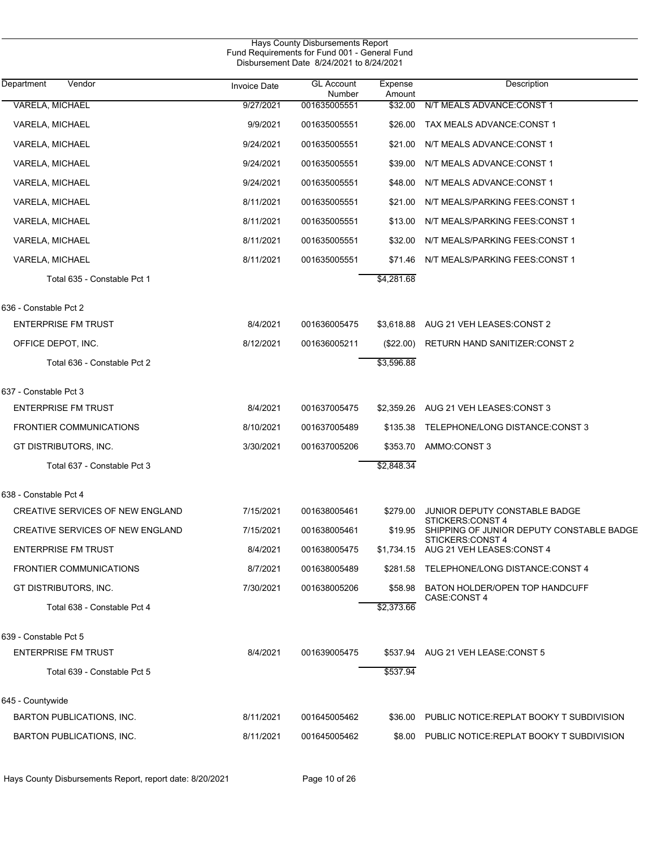| Hays County Disbursements Report<br>Fund Requirements for Fund 001 - General Fund<br>Disbursement Date 8/24/2021 to 8/24/2021 |                     |                             |                   |                                                               |  |  |
|-------------------------------------------------------------------------------------------------------------------------------|---------------------|-----------------------------|-------------------|---------------------------------------------------------------|--|--|
| Department<br>Vendor                                                                                                          | <b>Invoice Date</b> | <b>GL Account</b><br>Number | Expense<br>Amount | Description                                                   |  |  |
| VARELA, MICHAEL                                                                                                               | 9/27/2021           | 001635005551                | \$32.00           | N/T MEALS ADVANCE:CONST 1                                     |  |  |
| VARELA, MICHAEL                                                                                                               | 9/9/2021            | 001635005551                | \$26.00           | TAX MEALS ADVANCE: CONST 1                                    |  |  |
| <b>VARELA, MICHAEL</b>                                                                                                        | 9/24/2021           | 001635005551                | \$21.00           | N/T MEALS ADVANCE CONST 1                                     |  |  |
| <b>VARELA, MICHAEL</b>                                                                                                        | 9/24/2021           | 001635005551                | \$39.00           | N/T MEALS ADVANCE: CONST 1                                    |  |  |
| VARELA, MICHAEL                                                                                                               | 9/24/2021           | 001635005551                | \$48.00           | N/T MEALS ADVANCE: CONST 1                                    |  |  |
| VARELA, MICHAEL                                                                                                               | 8/11/2021           | 001635005551                | \$21.00           | N/T MEALS/PARKING FEES: CONST 1                               |  |  |
| VARELA, MICHAEL                                                                                                               | 8/11/2021           | 001635005551                | \$13.00           | N/T MEALS/PARKING FEES: CONST 1                               |  |  |
| VARELA, MICHAEL                                                                                                               | 8/11/2021           | 001635005551                | \$32.00           | N/T MEALS/PARKING FEES: CONST 1                               |  |  |
| VARELA, MICHAEL                                                                                                               | 8/11/2021           | 001635005551                | \$71.46           | N/T MEALS/PARKING FEES:CONST 1                                |  |  |
| Total 635 - Constable Pct 1                                                                                                   |                     |                             | \$4,281.68        |                                                               |  |  |
| 636 - Constable Pct 2                                                                                                         |                     |                             |                   |                                                               |  |  |
| <b>ENTERPRISE FM TRUST</b>                                                                                                    | 8/4/2021            | 001636005475                | \$3,618.88        | AUG 21 VEH LEASES: CONST 2                                    |  |  |
| OFFICE DEPOT, INC.                                                                                                            | 8/12/2021           | 001636005211                | $(\$22.00)$       | RETURN HAND SANITIZER: CONST 2                                |  |  |
| Total 636 - Constable Pct 2                                                                                                   |                     |                             | \$3,596.88        |                                                               |  |  |
| 637 - Constable Pct 3                                                                                                         |                     |                             |                   |                                                               |  |  |
| <b>ENTERPRISE FM TRUST</b>                                                                                                    | 8/4/2021            | 001637005475                | \$2,359.26        | AUG 21 VEH LEASES: CONST 3                                    |  |  |
| <b>FRONTIER COMMUNICATIONS</b>                                                                                                | 8/10/2021           | 001637005489                | \$135.38          | TELEPHONE/LONG DISTANCE:CONST 3                               |  |  |
| GT DISTRIBUTORS, INC.                                                                                                         | 3/30/2021           | 001637005206                | \$353.70          | AMMO:CONST 3                                                  |  |  |
| Total 637 - Constable Pct 3                                                                                                   |                     |                             | \$2,848.34        |                                                               |  |  |
| 638 - Constable Pct 4                                                                                                         |                     |                             |                   |                                                               |  |  |
| <b>CREATIVE SERVICES OF NEW ENGLAND</b>                                                                                       | 7/15/2021           | 001638005461                |                   | \$279.00 JUNIOR DEPUTY CONSTABLE BADGE<br>STICKERS:CONST 4    |  |  |
| <b>CREATIVE SERVICES OF NEW ENGLAND</b>                                                                                       | 7/15/2021           | 001638005461                | \$19.95           | SHIPPING OF JUNIOR DEPUTY CONSTABLE BADGE<br>STICKERS:CONST 4 |  |  |
| <b>ENTERPRISE FM TRUST</b>                                                                                                    | 8/4/2021            | 001638005475                |                   | \$1,734.15 AUG 21 VEH LEASES CONST 4                          |  |  |
| <b>FRONTIER COMMUNICATIONS</b>                                                                                                | 8/7/2021            | 001638005489                | \$281.58          | TELEPHONE/LONG DISTANCE:CONST 4                               |  |  |
| GT DISTRIBUTORS, INC.                                                                                                         | 7/30/2021           | 001638005206                | \$58.98           | BATON HOLDER/OPEN TOP HANDCUFF<br>CASE:CONST 4                |  |  |
| Total 638 - Constable Pct 4                                                                                                   |                     |                             | \$2,373.66        |                                                               |  |  |
| 639 - Constable Pct 5                                                                                                         |                     |                             |                   |                                                               |  |  |
| <b>ENTERPRISE FM TRUST</b>                                                                                                    | 8/4/2021            | 001639005475                |                   | \$537.94 AUG 21 VEH LEASE: CONST 5                            |  |  |
| Total 639 - Constable Pct 5                                                                                                   |                     |                             | \$537.94          |                                                               |  |  |
| 645 - Countywide                                                                                                              |                     |                             |                   |                                                               |  |  |
| BARTON PUBLICATIONS, INC.                                                                                                     | 8/11/2021           | 001645005462                |                   | \$36.00 PUBLIC NOTICE:REPLAT BOOKY T SUBDIVISION              |  |  |
| BARTON PUBLICATIONS, INC.                                                                                                     | 8/11/2021           | 001645005462                |                   | \$8.00 PUBLIC NOTICE: REPLAT BOOKY T SUBDIVISION              |  |  |

Hays County Disbursements Report, report date: 8/20/2021 Page 10 of 26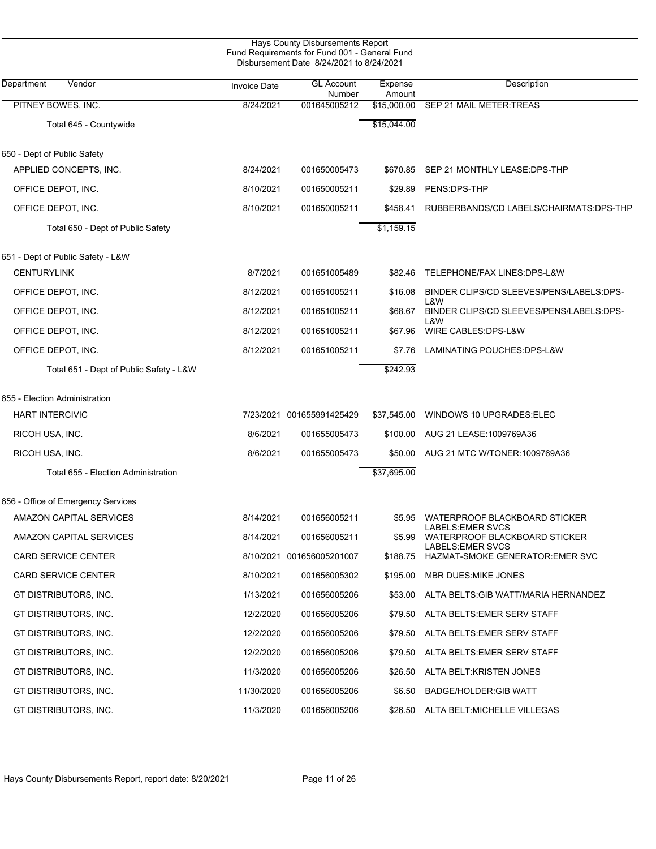|                                         |                     | Hays County Disbursements Report<br>Fund Requirements for Fund 001 - General Fund<br>Disbursement Date 8/24/2021 to 8/24/2021 |                   |                                                                               |
|-----------------------------------------|---------------------|-------------------------------------------------------------------------------------------------------------------------------|-------------------|-------------------------------------------------------------------------------|
| Vendor<br>Department                    | <b>Invoice Date</b> | <b>GL Account</b><br>Number                                                                                                   | Expense<br>Amount | Description                                                                   |
| PITNEY BOWES, INC.                      | 8/24/2021           | 001645005212                                                                                                                  | \$15,000.00       | SEP 21 MAIL METER:TREAS                                                       |
| Total 645 - Countywide                  |                     |                                                                                                                               | \$15,044.00       |                                                                               |
| 650 - Dept of Public Safety             |                     |                                                                                                                               |                   |                                                                               |
| APPLIED CONCEPTS, INC.                  | 8/24/2021           | 001650005473                                                                                                                  | \$670.85          | SEP 21 MONTHLY LEASE:DPS-THP                                                  |
| OFFICE DEPOT, INC.                      | 8/10/2021           | 001650005211                                                                                                                  | \$29.89           | PENS:DPS-THP                                                                  |
| OFFICE DEPOT, INC.                      | 8/10/2021           | 001650005211                                                                                                                  | \$458.41          | RUBBERBANDS/CD LABELS/CHAIRMATS: DPS-THP                                      |
| Total 650 - Dept of Public Safety       |                     |                                                                                                                               | \$1,159.15        |                                                                               |
| 651 - Dept of Public Safety - L&W       |                     |                                                                                                                               |                   |                                                                               |
| <b>CENTURYLINK</b>                      | 8/7/2021            | 001651005489                                                                                                                  | \$82.46           | TELEPHONE/FAX LINES:DPS-L&W                                                   |
| OFFICE DEPOT, INC.                      | 8/12/2021           | 001651005211                                                                                                                  | \$16.08           | BINDER CLIPS/CD SLEEVES/PENS/LABELS:DPS-<br>L&W                               |
| OFFICE DEPOT, INC.                      | 8/12/2021           | 001651005211                                                                                                                  | \$68.67           | BINDER CLIPS/CD SLEEVES/PENS/LABELS:DPS-<br>L&W                               |
| OFFICE DEPOT, INC.                      | 8/12/2021           | 001651005211                                                                                                                  | \$67.96           | WIRE CABLES: DPS-L&W                                                          |
| OFFICE DEPOT, INC.                      | 8/12/2021           | 001651005211                                                                                                                  | \$7.76            | LAMINATING POUCHES: DPS-L&W                                                   |
| Total 651 - Dept of Public Safety - L&W |                     |                                                                                                                               | \$242.93          |                                                                               |
| 655 - Election Administration           |                     |                                                                                                                               |                   |                                                                               |
| <b>HART INTERCIVIC</b>                  |                     | 7/23/2021 001655991425429                                                                                                     | \$37,545.00       | WINDOWS 10 UPGRADES: ELEC                                                     |
| RICOH USA, INC.                         | 8/6/2021            | 001655005473                                                                                                                  | \$100.00          | AUG 21 LEASE: 1009769A36                                                      |
| RICOH USA, INC.                         | 8/6/2021            | 001655005473                                                                                                                  | \$50.00           | AUG 21 MTC W/TONER: 1009769A36                                                |
| Total 655 - Election Administration     |                     |                                                                                                                               | \$37,695.00       |                                                                               |
| 656 - Office of Emergency Services      |                     |                                                                                                                               |                   |                                                                               |
| AMAZON CAPITAL SERVICES                 | 8/14/2021           | 001656005211                                                                                                                  | \$5.95            | WATERPROOF BLACKBOARD STICKER                                                 |
| AMAZON CAPITAL SERVICES                 | 8/14/2021           | 001656005211                                                                                                                  | \$5.99            | LABELS: EMER SVCS<br>WATERPROOF BLACKBOARD STICKER<br><b>LABELS:EMER SVCS</b> |
| <b>CARD SERVICE CENTER</b>              |                     | 8/10/2021 001656005201007                                                                                                     | \$188.75          | HAZMAT-SMOKE GENERATOR: EMER SVC                                              |
| <b>CARD SERVICE CENTER</b>              | 8/10/2021           | 001656005302                                                                                                                  | \$195.00          | MBR DUES MIKE JONES                                                           |
| GT DISTRIBUTORS, INC.                   | 1/13/2021           | 001656005206                                                                                                                  | \$53.00           | ALTA BELTS:GIB WATT/MARIA HERNANDEZ                                           |
| GT DISTRIBUTORS, INC.                   | 12/2/2020           | 001656005206                                                                                                                  | \$79.50           | ALTA BELTS: EMER SERV STAFF                                                   |
| GT DISTRIBUTORS, INC.                   | 12/2/2020           | 001656005206                                                                                                                  | \$79.50           | ALTA BELTS: EMER SERV STAFF                                                   |
| GT DISTRIBUTORS, INC.                   | 12/2/2020           | 001656005206                                                                                                                  | \$79.50           | ALTA BELTS: EMER SERV STAFF                                                   |
| GT DISTRIBUTORS, INC.                   | 11/3/2020           | 001656005206                                                                                                                  | \$26.50           | ALTA BELT: KRISTEN JONES                                                      |
| GT DISTRIBUTORS, INC.                   | 11/30/2020          | 001656005206                                                                                                                  | \$6.50            | BADGE/HOLDER:GIB WATT                                                         |
| GT DISTRIBUTORS, INC.                   | 11/3/2020           | 001656005206                                                                                                                  |                   | \$26.50 ALTA BELT:MICHELLE VILLEGAS                                           |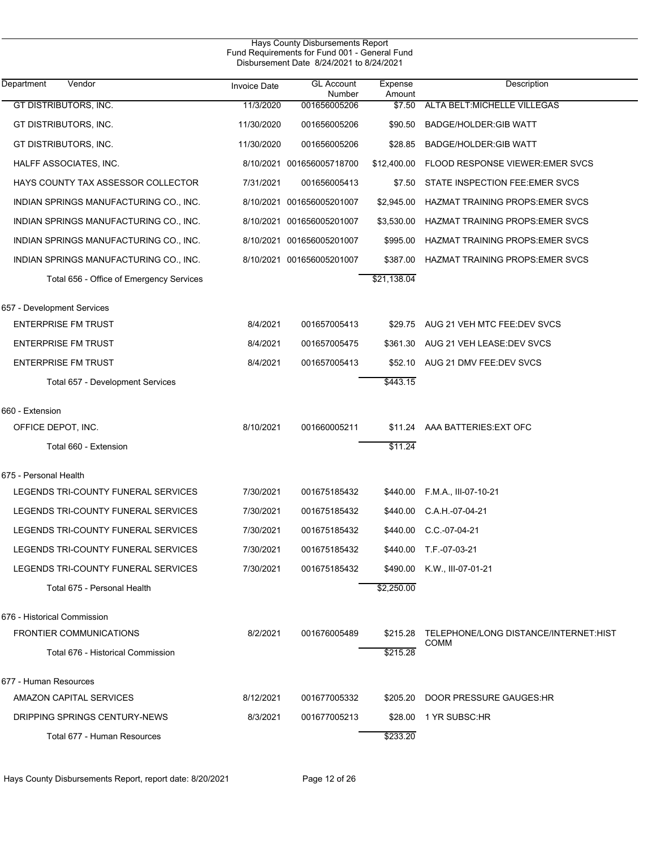| Hays County Disbursements Report<br>Fund Requirements for Fund 001 - General Fund<br>Disbursement Date 8/24/2021 to 8/24/2021 |                     |                             |                   |                                                      |  |  |  |
|-------------------------------------------------------------------------------------------------------------------------------|---------------------|-----------------------------|-------------------|------------------------------------------------------|--|--|--|
| Vendor<br>Department                                                                                                          | <b>Invoice Date</b> | <b>GL Account</b><br>Number | Expense<br>Amount | Description                                          |  |  |  |
| <b>GT DISTRIBUTORS, INC.</b>                                                                                                  | 11/3/2020           | 001656005206                | \$7.50            | ALTA BELT: MICHELLE VILLEGAS                         |  |  |  |
| GT DISTRIBUTORS, INC.                                                                                                         | 11/30/2020          | 001656005206                | \$90.50           | <b>BADGE/HOLDER:GIB WATT</b>                         |  |  |  |
| GT DISTRIBUTORS, INC.                                                                                                         | 11/30/2020          | 001656005206                | \$28.85           | BADGE/HOLDER: GIB WATT                               |  |  |  |
| HALFF ASSOCIATES, INC.                                                                                                        |                     | 8/10/2021 001656005718700   | \$12,400.00       | <b>FLOOD RESPONSE VIEWER: EMER SVCS</b>              |  |  |  |
| HAYS COUNTY TAX ASSESSOR COLLECTOR                                                                                            | 7/31/2021           | 001656005413                | \$7.50            | STATE INSPECTION FEE: EMER SVCS                      |  |  |  |
| INDIAN SPRINGS MANUFACTURING CO., INC.                                                                                        |                     | 8/10/2021 001656005201007   | \$2,945.00        | HAZMAT TRAINING PROPS: EMER SVCS                     |  |  |  |
| INDIAN SPRINGS MANUFACTURING CO., INC.                                                                                        |                     | 8/10/2021 001656005201007   | \$3,530.00        | HAZMAT TRAINING PROPS: EMER SVCS                     |  |  |  |
| INDIAN SPRINGS MANUFACTURING CO., INC.                                                                                        |                     | 8/10/2021 001656005201007   | \$995.00          | HAZMAT TRAINING PROPS: EMER SVCS                     |  |  |  |
| INDIAN SPRINGS MANUFACTURING CO., INC.                                                                                        |                     | 8/10/2021 001656005201007   | \$387.00          | HAZMAT TRAINING PROPS: EMER SVCS                     |  |  |  |
| Total 656 - Office of Emergency Services                                                                                      |                     |                             | \$21,138.04       |                                                      |  |  |  |
| 657 - Development Services                                                                                                    |                     |                             |                   |                                                      |  |  |  |
| <b>ENTERPRISE FM TRUST</b>                                                                                                    | 8/4/2021            | 001657005413                | \$29.75           | AUG 21 VEH MTC FEE:DEV SVCS                          |  |  |  |
| <b>ENTERPRISE FM TRUST</b>                                                                                                    | 8/4/2021            | 001657005475                | \$361.30          | AUG 21 VEH LEASE: DEV SVCS                           |  |  |  |
| <b>ENTERPRISE FM TRUST</b>                                                                                                    | 8/4/2021            | 001657005413                | \$52.10           | AUG 21 DMV FEE:DEV SVCS                              |  |  |  |
| Total 657 - Development Services                                                                                              |                     |                             | \$443.15          |                                                      |  |  |  |
| 660 - Extension                                                                                                               |                     |                             |                   |                                                      |  |  |  |
| OFFICE DEPOT, INC.                                                                                                            | 8/10/2021           | 001660005211                | \$11.24           | AAA BATTERIES: EXT OFC                               |  |  |  |
| Total 660 - Extension                                                                                                         |                     |                             | \$11.24           |                                                      |  |  |  |
| 675 - Personal Health                                                                                                         |                     |                             |                   |                                                      |  |  |  |
| LEGENDS TRI-COUNTY FUNERAL SERVICES                                                                                           | 7/30/2021           | 001675185432                | \$440.00          | F.M.A., III-07-10-21                                 |  |  |  |
| LEGENDS TRI-COUNTY FUNERAL SERVICES                                                                                           | 7/30/2021           | 001675185432                | \$440.00          | C.A.H.-07-04-21                                      |  |  |  |
| LEGENDS TRI-COUNTY FUNERAL SERVICES                                                                                           | 7/30/2021           | 001675185432                |                   | \$440.00 C.C.-07-04-21                               |  |  |  |
| LEGENDS TRI-COUNTY FUNERAL SERVICES                                                                                           | 7/30/2021           | 001675185432                |                   | \$440.00 T.F.-07-03-21                               |  |  |  |
| LEGENDS TRI-COUNTY FUNERAL SERVICES                                                                                           | 7/30/2021           | 001675185432                | \$490.00          | K.W., III-07-01-21                                   |  |  |  |
| Total 675 - Personal Health                                                                                                   |                     |                             | \$2,250.00        |                                                      |  |  |  |
| 676 - Historical Commission                                                                                                   |                     |                             |                   |                                                      |  |  |  |
| <b>FRONTIER COMMUNICATIONS</b>                                                                                                | 8/2/2021            | 001676005489                | \$215.28          | TELEPHONE/LONG DISTANCE/INTERNET:HIST<br><b>COMM</b> |  |  |  |
| Total 676 - Historical Commission                                                                                             |                     |                             | \$215.28          |                                                      |  |  |  |
| 677 - Human Resources                                                                                                         |                     |                             |                   |                                                      |  |  |  |
| AMAZON CAPITAL SERVICES                                                                                                       | 8/12/2021           | 001677005332                | \$205.20          | DOOR PRESSURE GAUGES: HR                             |  |  |  |
| DRIPPING SPRINGS CENTURY-NEWS                                                                                                 | 8/3/2021            | 001677005213                |                   | \$28.00 1 YR SUBSC: HR                               |  |  |  |
| Total 677 - Human Resources                                                                                                   |                     |                             | \$233.20          |                                                      |  |  |  |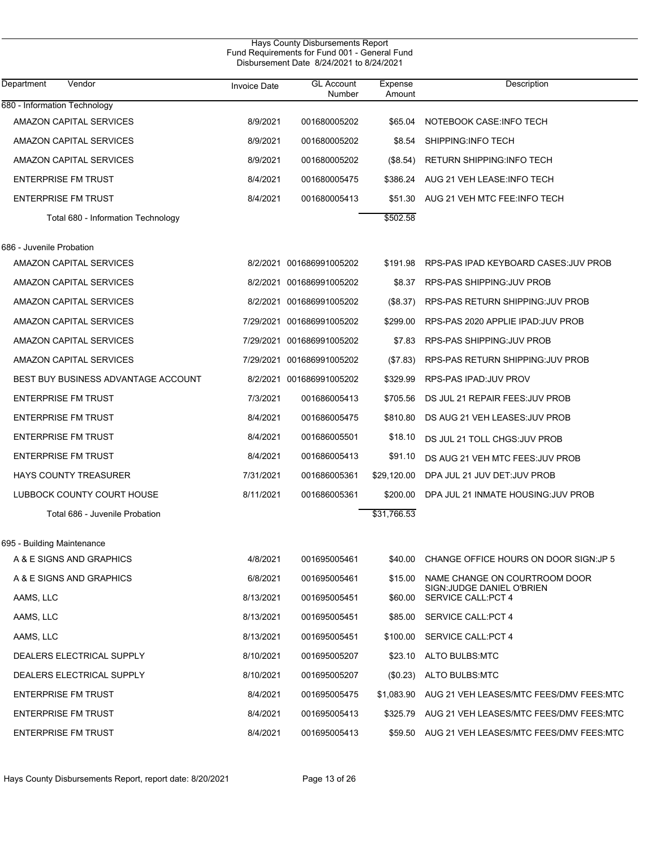| Hays County Disbursements Report<br>Fund Requirements for Fund 001 - General Fund<br>Disbursement Date 8/24/2021 to 8/24/2021 |                     |                             |                   |                                                         |  |  |  |
|-------------------------------------------------------------------------------------------------------------------------------|---------------------|-----------------------------|-------------------|---------------------------------------------------------|--|--|--|
| Vendor<br>Department                                                                                                          | <b>Invoice Date</b> | <b>GL Account</b><br>Number | Expense<br>Amount | Description                                             |  |  |  |
| 680 - Information Technology                                                                                                  |                     |                             |                   |                                                         |  |  |  |
| AMAZON CAPITAL SERVICES                                                                                                       | 8/9/2021            | 001680005202                | \$65.04           | NOTEBOOK CASE: INFO TECH                                |  |  |  |
| AMAZON CAPITAL SERVICES                                                                                                       | 8/9/2021            | 001680005202                | \$8.54            | SHIPPING: INFO TECH                                     |  |  |  |
| AMAZON CAPITAL SERVICES                                                                                                       | 8/9/2021            | 001680005202                | (\$8.54)          | RETURN SHIPPING INFO TECH                               |  |  |  |
| <b>ENTERPRISE FM TRUST</b>                                                                                                    | 8/4/2021            | 001680005475                | \$386.24          | AUG 21 VEH LEASE: INFO TECH                             |  |  |  |
| <b>ENTERPRISE FM TRUST</b>                                                                                                    | 8/4/2021            | 001680005413                | \$51.30           | AUG 21 VEH MTC FEE: INFO TECH                           |  |  |  |
| Total 680 - Information Technology                                                                                            |                     |                             | \$502.58          |                                                         |  |  |  |
| 686 - Juvenile Probation                                                                                                      |                     |                             |                   |                                                         |  |  |  |
| AMAZON CAPITAL SERVICES                                                                                                       |                     | 8/2/2021 001686991005202    | \$191.98          | RPS-PAS IPAD KEYBOARD CASES: JUV PROB                   |  |  |  |
| AMAZON CAPITAL SERVICES                                                                                                       |                     | 8/2/2021 001686991005202    | \$8.37            | RPS-PAS SHIPPING: JUV PROB                              |  |  |  |
| AMAZON CAPITAL SERVICES                                                                                                       |                     | 8/2/2021 001686991005202    | (\$8.37)          | RPS-PAS RETURN SHIPPING: JUV PROB                       |  |  |  |
| AMAZON CAPITAL SERVICES                                                                                                       |                     | 7/29/2021 001686991005202   | \$299.00          | RPS-PAS 2020 APPLIE IPAD: JUV PROB                      |  |  |  |
| AMAZON CAPITAL SERVICES                                                                                                       |                     | 7/29/2021 001686991005202   | \$7.83            | RPS-PAS SHIPPING: JUV PROB                              |  |  |  |
| AMAZON CAPITAL SERVICES                                                                                                       |                     | 7/29/2021 001686991005202   | (\$7.83)          | RPS-PAS RETURN SHIPPING: JUV PROB                       |  |  |  |
| BEST BUY BUSINESS ADVANTAGE ACCOUNT                                                                                           |                     | 8/2/2021 001686991005202    | \$329.99          | RPS-PAS IPAD: JUV PROV                                  |  |  |  |
| <b>ENTERPRISE FM TRUST</b>                                                                                                    | 7/3/2021            | 001686005413                | \$705.56          | DS JUL 21 REPAIR FEES: JUV PROB                         |  |  |  |
| <b>ENTERPRISE FM TRUST</b>                                                                                                    | 8/4/2021            | 001686005475                | \$810.80          | DS AUG 21 VEH LEASES: JUV PROB                          |  |  |  |
| <b>ENTERPRISE FM TRUST</b>                                                                                                    | 8/4/2021            | 001686005501                | \$18.10           | DS JUL 21 TOLL CHGS: JUV PROB                           |  |  |  |
| <b>ENTERPRISE FM TRUST</b>                                                                                                    | 8/4/2021            | 001686005413                | \$91.10           | DS AUG 21 VEH MTC FEES: JUV PROB                        |  |  |  |
| <b>HAYS COUNTY TREASURER</b>                                                                                                  | 7/31/2021           | 001686005361                | \$29,120.00       | DPA JUL 21 JUV DET: JUV PROB                            |  |  |  |
| LUBBOCK COUNTY COURT HOUSE                                                                                                    | 8/11/2021           | 001686005361                | \$200.00          | DPA JUL 21 INMATE HOUSING: JUV PROB                     |  |  |  |
| Total 686 - Juvenile Probation                                                                                                |                     |                             | \$31.766.53       |                                                         |  |  |  |
| 695 - Building Maintenance                                                                                                    |                     |                             |                   |                                                         |  |  |  |
| A & E SIGNS AND GRAPHICS                                                                                                      | 4/8/2021            | 001695005461                | \$40.00           | CHANGE OFFICE HOURS ON DOOR SIGN: JP 5                  |  |  |  |
| A & E SIGNS AND GRAPHICS                                                                                                      | 6/8/2021            | 001695005461                | \$15.00           | NAME CHANGE ON COURTROOM DOOR                           |  |  |  |
| AAMS, LLC                                                                                                                     | 8/13/2021           | 001695005451                | \$60.00           | SIGN: JUDGE DANIEL O'BRIEN<br><b>SERVICE CALL:PCT 4</b> |  |  |  |
| AAMS, LLC                                                                                                                     | 8/13/2021           | 001695005451                | \$85.00           | <b>SERVICE CALL:PCT 4</b>                               |  |  |  |
| AAMS, LLC                                                                                                                     | 8/13/2021           | 001695005451                | \$100.00          | <b>SERVICE CALL:PCT 4</b>                               |  |  |  |
| DEALERS ELECTRICAL SUPPLY                                                                                                     | 8/10/2021           | 001695005207                | \$23.10           | ALTO BULBS:MTC                                          |  |  |  |
| DEALERS ELECTRICAL SUPPLY                                                                                                     | 8/10/2021           | 001695005207                | (\$0.23)          | ALTO BULBS:MTC                                          |  |  |  |
| <b>ENTERPRISE FM TRUST</b>                                                                                                    | 8/4/2021            | 001695005475                | \$1,083.90        | AUG 21 VEH LEASES/MTC FEES/DMV FEES:MTC                 |  |  |  |
| <b>ENTERPRISE FM TRUST</b>                                                                                                    | 8/4/2021            | 001695005413                | \$325.79          | AUG 21 VEH LEASES/MTC FEES/DMV FEES:MTC                 |  |  |  |
| <b>ENTERPRISE FM TRUST</b>                                                                                                    | 8/4/2021            | 001695005413                | \$59.50           | AUG 21 VEH LEASES/MTC FEES/DMV FEES:MTC                 |  |  |  |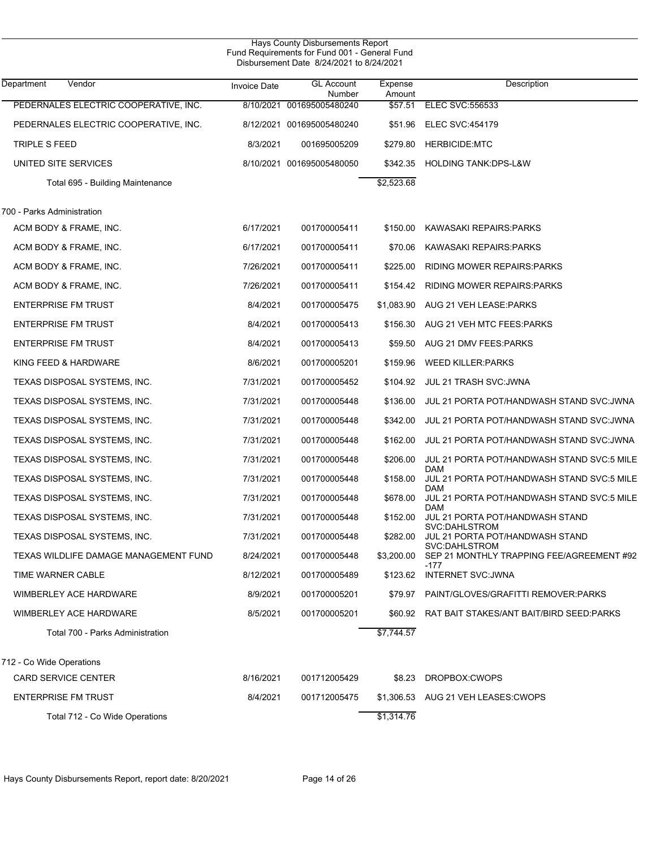| Hays County Disbursements Report<br>Fund Requirements for Fund 001 - General Fund<br>Disbursement Date 8/24/2021 to 8/24/2021 |                     |                             |                   |                                                            |  |  |
|-------------------------------------------------------------------------------------------------------------------------------|---------------------|-----------------------------|-------------------|------------------------------------------------------------|--|--|
| Department<br>Vendor                                                                                                          | <b>Invoice Date</b> | <b>GL Account</b><br>Number | Expense<br>Amount | Description                                                |  |  |
| PEDERNALES ELECTRIC COOPERATIVE, INC.                                                                                         |                     | 8/10/2021 001695005480240   | \$57.51           | <b>ELEC SVC:556533</b>                                     |  |  |
| PEDERNALES ELECTRIC COOPERATIVE, INC.                                                                                         |                     | 8/12/2021 001695005480240   | \$51.96           | <b>ELEC SVC:454179</b>                                     |  |  |
| TRIPLE S FEED                                                                                                                 | 8/3/2021            | 001695005209                | \$279.80          | <b>HERBICIDE:MTC</b>                                       |  |  |
| UNITED SITE SERVICES                                                                                                          |                     | 8/10/2021 001695005480050   | \$342.35          | <b>HOLDING TANK:DPS-L&amp;W</b>                            |  |  |
| Total 695 - Building Maintenance                                                                                              |                     |                             | \$2,523.68        |                                                            |  |  |
| 700 - Parks Administration                                                                                                    |                     |                             |                   |                                                            |  |  |
| ACM BODY & FRAME, INC.                                                                                                        | 6/17/2021           | 001700005411                | \$150.00          | KAWASAKI REPAIRS:PARKS                                     |  |  |
| ACM BODY & FRAME, INC.                                                                                                        | 6/17/2021           | 001700005411                | \$70.06           | KAWASAKI REPAIRS:PARKS                                     |  |  |
| ACM BODY & FRAME, INC.                                                                                                        | 7/26/2021           | 001700005411                | \$225.00          | RIDING MOWER REPAIRS: PARKS                                |  |  |
| ACM BODY & FRAME, INC.                                                                                                        | 7/26/2021           | 001700005411                | \$154.42          | RIDING MOWER REPAIRS: PARKS                                |  |  |
| <b>ENTERPRISE FM TRUST</b>                                                                                                    | 8/4/2021            | 001700005475                | \$1,083.90        | AUG 21 VEH LEASE: PARKS                                    |  |  |
| <b>ENTERPRISE FM TRUST</b>                                                                                                    | 8/4/2021            | 001700005413                | \$156.30          | AUG 21 VEH MTC FEES: PARKS                                 |  |  |
| <b>ENTERPRISE FM TRUST</b>                                                                                                    | 8/4/2021            | 001700005413                | \$59.50           | AUG 21 DMV FEES: PARKS                                     |  |  |
| KING FEED & HARDWARE                                                                                                          | 8/6/2021            | 001700005201                | \$159.96          | <b>WEED KILLER: PARKS</b>                                  |  |  |
| TEXAS DISPOSAL SYSTEMS, INC.                                                                                                  | 7/31/2021           | 001700005452                | \$104.92          | <b>JUL 21 TRASH SVC: JWNA</b>                              |  |  |
| TEXAS DISPOSAL SYSTEMS, INC.                                                                                                  | 7/31/2021           | 001700005448                | \$136.00          | JUL 21 PORTA POT/HANDWASH STAND SVC: JWNA                  |  |  |
| TEXAS DISPOSAL SYSTEMS, INC.                                                                                                  | 7/31/2021           | 001700005448                | \$342.00          | JUL 21 PORTA POT/HANDWASH STAND SVC: JWNA                  |  |  |
| TEXAS DISPOSAL SYSTEMS, INC.                                                                                                  | 7/31/2021           | 001700005448                | \$162.00          | JUL 21 PORTA POT/HANDWASH STAND SVC:JWNA                   |  |  |
| TEXAS DISPOSAL SYSTEMS, INC.                                                                                                  | 7/31/2021           | 001700005448                | \$206.00          | JUL 21 PORTA POT/HANDWASH STAND SVC:5 MILE                 |  |  |
| TEXAS DISPOSAL SYSTEMS, INC.                                                                                                  | 7/31/2021           | 001700005448                | \$158.00          | DAM<br>JUL 21 PORTA POT/HANDWASH STAND SVC:5 MILE          |  |  |
| TEXAS DISPOSAL SYSTEMS, INC.                                                                                                  | 7/31/2021           | 001700005448                | \$678.00          | DAM<br>JUL 21 PORTA POT/HANDWASH STAND SVC:5 MILE          |  |  |
| TEXAS DISPOSAL SYSTEMS, INC.                                                                                                  | 7/31/2021           | 001700005448                | \$152.00          | DAM<br>JUL 21 PORTA POT/HANDWASH STAND                     |  |  |
| TEXAS DISPOSAL SYSTEMS, INC.                                                                                                  | 7/31/2021           | 001700005448                | \$282.00          | SVC:DAHLSTROM<br>JUL 21 PORTA POT/HANDWASH STAND           |  |  |
| TEXAS WILDLIFE DAMAGE MANAGEMENT FUND                                                                                         | 8/24/2021           | 001700005448                | \$3,200.00        | SVC:DAHLSTROM<br>SEP 21 MONTHLY TRAPPING FEE/AGREEMENT #92 |  |  |
| TIME WARNER CABLE                                                                                                             | 8/12/2021           | 001700005489                | \$123.62          | -177<br>INTERNET SVC:JWNA                                  |  |  |
| WIMBERLEY ACE HARDWARE                                                                                                        | 8/9/2021            | 001700005201                | \$79.97           | PAINT/GLOVES/GRAFITTI REMOVER:PARKS                        |  |  |
| WIMBERLEY ACE HARDWARE                                                                                                        | 8/5/2021            | 001700005201                | \$60.92           | RAT BAIT STAKES/ANT BAIT/BIRD SEED:PARKS                   |  |  |
| Total 700 - Parks Administration                                                                                              |                     |                             | \$7,744.57        |                                                            |  |  |
| 712 - Co Wide Operations                                                                                                      |                     |                             |                   |                                                            |  |  |
| <b>CARD SERVICE CENTER</b>                                                                                                    | 8/16/2021           | 001712005429                | \$8.23            | DROPBOX:CWOPS                                              |  |  |
| <b>ENTERPRISE FM TRUST</b>                                                                                                    | 8/4/2021            | 001712005475                | \$1,306.53        | AUG 21 VEH LEASES: CWOPS                                   |  |  |
| Total 712 - Co Wide Operations                                                                                                |                     |                             | \$1,314.76        |                                                            |  |  |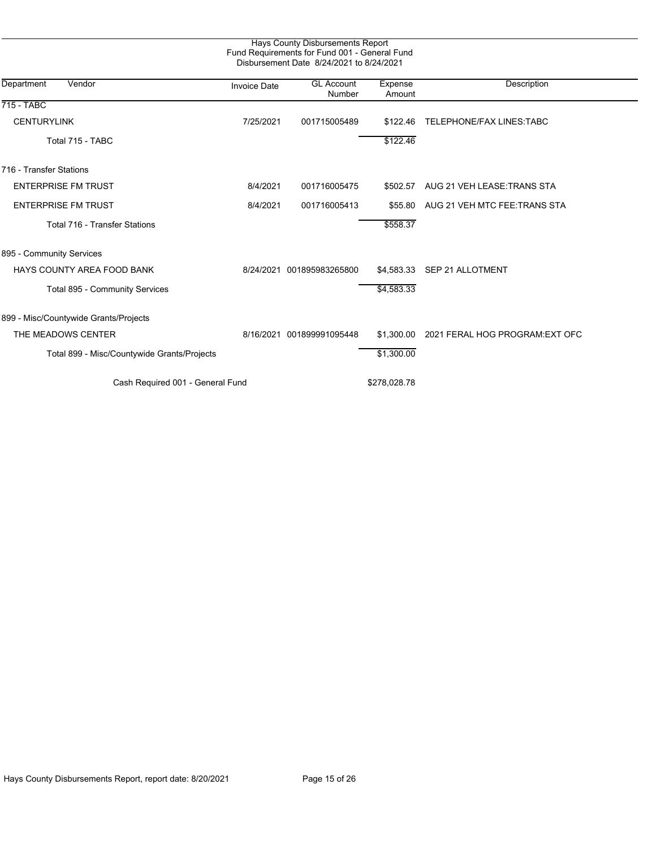| Hays County Disbursements Report<br>Fund Requirements for Fund 001 - General Fund<br>Disbursement Date 8/24/2021 to 8/24/2021 |                     |                             |                   |                                 |  |  |
|-------------------------------------------------------------------------------------------------------------------------------|---------------------|-----------------------------|-------------------|---------------------------------|--|--|
| Department<br>Vendor                                                                                                          | <b>Invoice Date</b> | <b>GL Account</b><br>Number | Expense<br>Amount | Description                     |  |  |
| 715 - TABC                                                                                                                    |                     |                             |                   |                                 |  |  |
| <b>CENTURYLINK</b>                                                                                                            | 7/25/2021           | 001715005489                | \$122.46          | TELEPHONE/FAX LINES: TABC       |  |  |
| Total 715 - TABC                                                                                                              |                     |                             | \$122.46          |                                 |  |  |
| 716 - Transfer Stations                                                                                                       |                     |                             |                   |                                 |  |  |
| <b>ENTERPRISE FM TRUST</b>                                                                                                    | 8/4/2021            | 001716005475                | \$502.57          | AUG 21 VEH LEASE: TRANS STA     |  |  |
| <b>ENTERPRISE FM TRUST</b>                                                                                                    | 8/4/2021            | 001716005413                | \$55.80           | AUG 21 VEH MTC FEE.TRANS STA    |  |  |
| Total 716 - Transfer Stations                                                                                                 |                     |                             | \$558.37          |                                 |  |  |
| 895 - Community Services                                                                                                      |                     |                             |                   |                                 |  |  |
| <b>HAYS COUNTY AREA FOOD BANK</b>                                                                                             | 8/24/2021           | 001895983265800             | \$4,583.33        | <b>SEP 21 ALLOTMENT</b>         |  |  |
| Total 895 - Community Services                                                                                                |                     |                             | \$4,583.33        |                                 |  |  |
| 899 - Misc/Countywide Grants/Projects                                                                                         |                     |                             |                   |                                 |  |  |
| THE MEADOWS CENTER                                                                                                            | 8/16/2021           | 001899991095448             | \$1,300.00        | 2021 FERAL HOG PROGRAM: EXT OFC |  |  |
| Total 899 - Misc/Countywide Grants/Projects                                                                                   |                     |                             | \$1,300.00        |                                 |  |  |
| Cash Required 001 - General Fund                                                                                              |                     |                             | \$278,028.78      |                                 |  |  |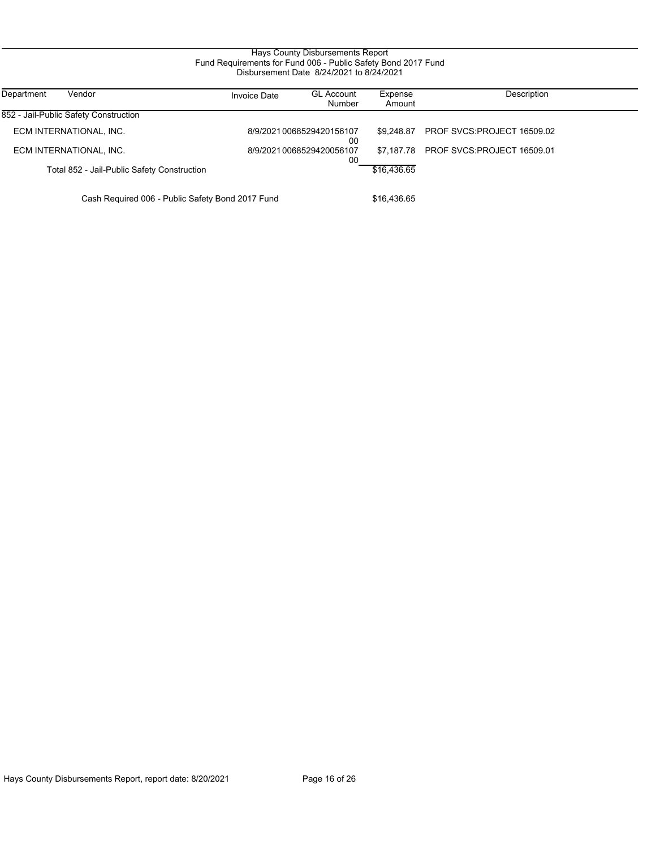#### Hays County Disbursements Report Fund Requirements for Fund 006 - Public Safety Bond 2017 Fund Disbursement Date 8/24/2021 to 8/24/2021

| Department<br>Vendor                             | <b>Invoice Date</b> | <b>GL Account</b><br>Number     | Expense<br>Amount | Description                           |
|--------------------------------------------------|---------------------|---------------------------------|-------------------|---------------------------------------|
| 852 - Jail-Public Safety Construction            |                     |                                 |                   |                                       |
| ECM INTERNATIONAL, INC.                          |                     | 8/9/2021 0068529420156107<br>00 | \$9.248.87        | PROF SVCS:PROJECT 16509.02            |
| ECM INTERNATIONAL, INC.                          |                     | 8/9/2021 0068529420056107<br>00 |                   | \$7,187.78 PROF SVCS:PROJECT 16509.01 |
| Total 852 - Jail-Public Safety Construction      |                     |                                 | \$16,436.65       |                                       |
| Cash Required 006 - Public Safety Bond 2017 Fund |                     |                                 | \$16.436.65       |                                       |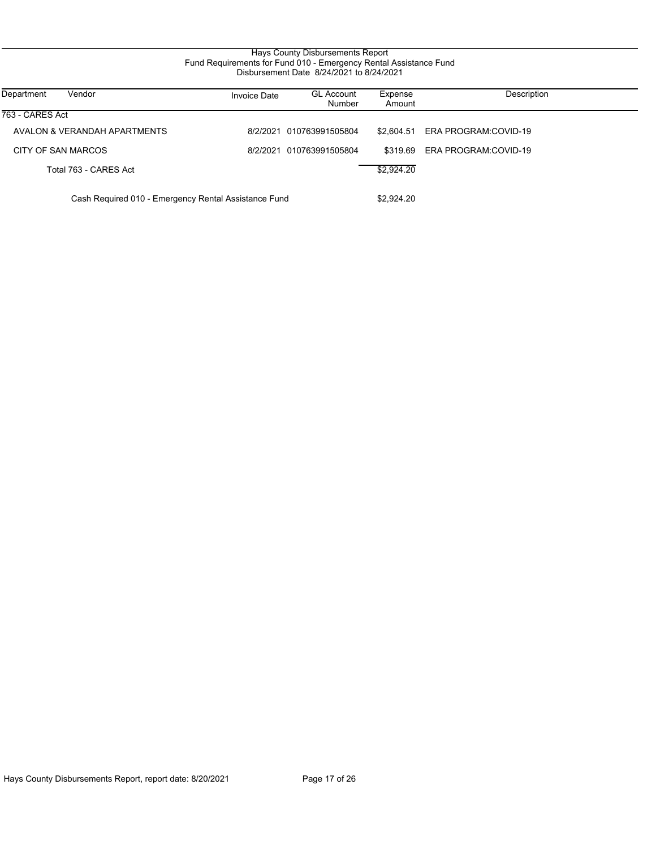#### Hays County Disbursements Report Fund Requirements for Fund 010 - Emergency Rental Assistance Fund Disbursement Date 8/24/2021 to 8/24/2021

| Vendor<br>Department                                 | Invoice Date | <b>GL Account</b><br>Number | Expense<br>Amount | Description          |
|------------------------------------------------------|--------------|-----------------------------|-------------------|----------------------|
| 763 - CARES Act                                      |              |                             |                   |                      |
| AVALON & VERANDAH APARTMENTS                         |              | 8/2/2021 010763991505804    | \$2.604.51        | ERA PROGRAM:COVID-19 |
| CITY OF SAN MARCOS                                   |              | 8/2/2021 010763991505804    | \$319.69          | ERA PROGRAM:COVID-19 |
| Total 763 - CARES Act                                |              |                             | \$2,924.20        |                      |
| Cash Required 010 - Emergency Rental Assistance Fund |              |                             | \$2,924.20        |                      |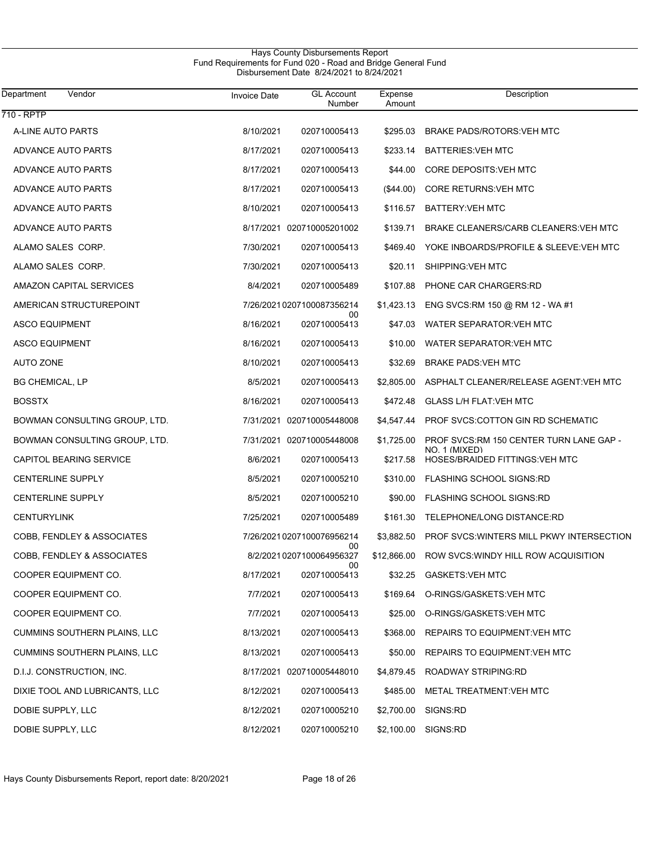#### Hays County Disbursements Report Fund Requirements for Fund 020 - Road and Bridge General Fund Disbursement Date 8/24/2021 to 8/24/2021

| Department<br>Vendor                | <b>Invoice Date</b> | <b>GL</b> Account<br>Number     | Expense<br>Amount | Description                                      |
|-------------------------------------|---------------------|---------------------------------|-------------------|--------------------------------------------------|
| 710 - RPTP                          |                     |                                 |                   |                                                  |
| A-LINE AUTO PARTS                   | 8/10/2021           | 020710005413                    | \$295.03          | BRAKE PADS/ROTORS: VEH MTC                       |
| <b>ADVANCE AUTO PARTS</b>           | 8/17/2021           | 020710005413                    | \$233.14          | <b>BATTERIES: VEH MTC</b>                        |
| ADVANCE AUTO PARTS                  | 8/17/2021           | 020710005413                    | \$44.00           | CORE DEPOSITS: VEH MTC                           |
| ADVANCE AUTO PARTS                  | 8/17/2021           | 020710005413                    | $(\$44.00)$       | <b>CORE RETURNS: VEH MTC</b>                     |
| ADVANCE AUTO PARTS                  | 8/10/2021           | 020710005413                    | \$116.57          | BATTERY: VEH MTC                                 |
| ADVANCE AUTO PARTS                  |                     | 8/17/2021 020710005201002       | \$139.71          | BRAKE CLEANERS/CARB CLEANERS: VEH MTC            |
| ALAMO SALES CORP.                   | 7/30/2021           | 020710005413                    | \$469.40          | YOKE INBOARDS/PROFILE & SLEEVE: VEH MTC          |
| ALAMO SALES CORP.                   | 7/30/2021           | 020710005413                    | \$20.11           | SHIPPING: VEH MTC                                |
| AMAZON CAPITAL SERVICES             | 8/4/2021            | 020710005489                    | \$107.88          | PHONE CAR CHARGERS:RD                            |
| AMERICAN STRUCTUREPOINT             |                     | 7/26/20210207100087356214       | \$1,423.13        | ENG SVCS:RM 150 @ RM 12 - WA #1                  |
| <b>ASCO EQUIPMENT</b>               | 8/16/2021           | 00<br>020710005413              | \$47.03           | WATER SEPARATOR: VEH MTC                         |
| <b>ASCO EQUIPMENT</b>               | 8/16/2021           | 020710005413                    | \$10.00           | WATER SEPARATOR: VEH MTC                         |
| <b>AUTO ZONE</b>                    | 8/10/2021           | 020710005413                    | \$32.69           | <b>BRAKE PADS: VEH MTC</b>                       |
| <b>BG CHEMICAL, LP</b>              | 8/5/2021            | 020710005413                    | \$2,805.00        | ASPHALT CLEANER/RELEASE AGENT: VEH MTC           |
| <b>BOSSTX</b>                       | 8/16/2021           | 020710005413                    | \$472.48          | <b>GLASS L/H FLAT VEH MTC</b>                    |
| BOWMAN CONSULTING GROUP, LTD.       |                     | 7/31/2021 020710005448008       | \$4,547.44        | PROF SVCS:COTTON GIN RD SCHEMATIC                |
| BOWMAN CONSULTING GROUP, LTD.       |                     | 7/31/2021 020710005448008       | \$1,725.00        | PROF SVCS:RM 150 CENTER TURN LANE GAP -          |
| CAPITOL BEARING SERVICE             | 8/6/2021            | 020710005413                    | \$217.58          | NO. 1 (MIXED)<br>HOSES/BRAIDED FITTINGS: VEH MTC |
| <b>CENTERLINE SUPPLY</b>            | 8/5/2021            | 020710005210                    | \$310.00          | FLASHING SCHOOL SIGNS:RD                         |
| <b>CENTERLINE SUPPLY</b>            | 8/5/2021            | 020710005210                    | \$90.00           | FLASHING SCHOOL SIGNS:RD                         |
| <b>CENTURYLINK</b>                  | 7/25/2021           | 020710005489                    | \$161.30          | TELEPHONE/LONG DISTANCE:RD                       |
| COBB, FENDLEY & ASSOCIATES          |                     | 7/26/20210207100076956214<br>00 | \$3,882.50        | <b>PROF SVCS: WINTERS MILL PKWY INTERSECTION</b> |
| COBB, FENDLEY & ASSOCIATES          |                     | 8/2/2021 0207100064956327<br>00 | \$12,866.00       | ROW SVCS: WINDY HILL ROW ACQUISITION             |
| COOPER EQUIPMENT CO.                | 8/17/2021           | 020710005413                    |                   | \$32.25 GASKETS: VEH MTC                         |
| COOPER EQUIPMENT CO.                | 7/7/2021            | 020710005413                    | \$169.64          | O-RINGS/GASKETS: VEH MTC                         |
| COOPER EQUIPMENT CO.                | 7/7/2021            | 020710005413                    |                   | \$25.00 O-RINGS/GASKETS: VEH MTC                 |
| <b>CUMMINS SOUTHERN PLAINS, LLC</b> | 8/13/2021           | 020710005413                    | \$368.00          | REPAIRS TO EQUIPMENT VEH MTC                     |
| CUMMINS SOUTHERN PLAINS, LLC        | 8/13/2021           | 020710005413                    | \$50.00           | REPAIRS TO EQUIPMENT VEH MTC                     |
| D.I.J. CONSTRUCTION, INC.           |                     | 8/17/2021 020710005448010       |                   | \$4,879.45 ROADWAY STRIPING:RD                   |
| DIXIE TOOL AND LUBRICANTS, LLC      | 8/12/2021           | 020710005413                    | \$485.00          | METAL TREATMENT: VEH MTC                         |
| DOBIE SUPPLY, LLC                   | 8/12/2021           | 020710005210                    | \$2,700.00        | SIGNS:RD                                         |
| DOBIE SUPPLY, LLC                   | 8/12/2021           | 020710005210                    |                   | \$2,100.00 SIGNS:RD                              |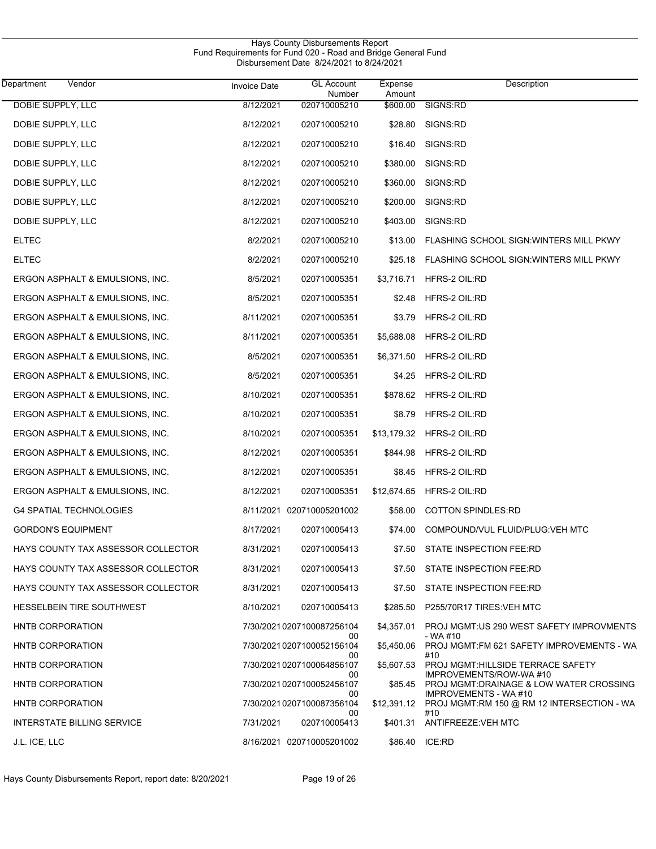| Vendor<br>Department               | <b>Invoice Date</b> | <b>GL Account</b><br>Number      | Expense<br>Amount | Description                                                      |
|------------------------------------|---------------------|----------------------------------|-------------------|------------------------------------------------------------------|
| DOBIE SUPPLY, LLC                  | 8/12/2021           | 020710005210                     | \$600.00          | SIGNS:RD                                                         |
| DOBIE SUPPLY, LLC                  | 8/12/2021           | 020710005210                     | \$28.80           | SIGNS:RD                                                         |
| DOBIE SUPPLY, LLC                  | 8/12/2021           | 020710005210                     | \$16.40           | SIGNS:RD                                                         |
| DOBIE SUPPLY, LLC                  | 8/12/2021           | 020710005210                     | \$380.00          | SIGNS:RD                                                         |
| DOBIE SUPPLY, LLC                  | 8/12/2021           | 020710005210                     | \$360.00          | SIGNS:RD                                                         |
| DOBIE SUPPLY, LLC                  | 8/12/2021           | 020710005210                     | \$200.00          | SIGNS:RD                                                         |
| DOBIE SUPPLY, LLC                  | 8/12/2021           | 020710005210                     | \$403.00          | SIGNS:RD                                                         |
| <b>ELTEC</b>                       | 8/2/2021            | 020710005210                     | \$13.00           | FLASHING SCHOOL SIGN: WINTERS MILL PKWY                          |
| <b>ELTEC</b>                       | 8/2/2021            | 020710005210                     | \$25.18           | FLASHING SCHOOL SIGN: WINTERS MILL PKWY                          |
| ERGON ASPHALT & EMULSIONS, INC.    | 8/5/2021            | 020710005351                     | \$3,716.71        | HFRS-2 OIL:RD                                                    |
| ERGON ASPHALT & EMULSIONS, INC.    | 8/5/2021            | 020710005351                     | \$2.48            | HFRS-2 OIL:RD                                                    |
| ERGON ASPHALT & EMULSIONS, INC.    | 8/11/2021           | 020710005351                     | \$3.79            | HFRS-2 OIL:RD                                                    |
| ERGON ASPHALT & EMULSIONS, INC.    | 8/11/2021           | 020710005351                     | \$5,688.08        | HFRS-2 OIL:RD                                                    |
| ERGON ASPHALT & EMULSIONS, INC.    | 8/5/2021            | 020710005351                     | \$6,371.50        | HFRS-2 OIL:RD                                                    |
| ERGON ASPHALT & EMULSIONS, INC.    | 8/5/2021            | 020710005351                     | \$4.25            | HFRS-2 OIL:RD                                                    |
| ERGON ASPHALT & EMULSIONS, INC.    | 8/10/2021           | 020710005351                     | \$878.62          | HFRS-2 OIL:RD                                                    |
| ERGON ASPHALT & EMULSIONS, INC.    | 8/10/2021           | 020710005351                     | \$8.79            | HFRS-2 OIL:RD                                                    |
| ERGON ASPHALT & EMULSIONS, INC.    | 8/10/2021           | 020710005351                     | \$13,179.32       | HFRS-2 OIL:RD                                                    |
| ERGON ASPHALT & EMULSIONS, INC.    | 8/12/2021           | 020710005351                     | \$844.98          | HFRS-2 OIL:RD                                                    |
| ERGON ASPHALT & EMULSIONS, INC.    | 8/12/2021           | 020710005351                     | \$8.45            | HFRS-2 OIL:RD                                                    |
| ERGON ASPHALT & EMULSIONS, INC.    | 8/12/2021           | 020710005351                     | \$12,674.65       | HFRS-2 OIL:RD                                                    |
| <b>G4 SPATIAL TECHNOLOGIES</b>     |                     | 8/11/2021 020710005201002        | \$58.00           | <b>COTTON SPINDLES:RD</b>                                        |
| GORDON'S EQUIPMENT                 | 8/17/2021           | 020710005413                     |                   | \$74.00 COMPOUND/VUL FLUID/PLUG: VEH MTC                         |
| HAYS COUNTY TAX ASSESSOR COLLECTOR | 8/31/2021           | 020710005413                     | \$7.50            | STATE INSPECTION FEE:RD                                          |
| HAYS COUNTY TAX ASSESSOR COLLECTOR | 8/31/2021           | 020710005413                     | \$7.50            | STATE INSPECTION FEE:RD                                          |
| HAYS COUNTY TAX ASSESSOR COLLECTOR | 8/31/2021           | 020710005413                     | \$7.50            | STATE INSPECTION FEE:RD                                          |
| HESSELBEIN TIRE SOUTHWEST          | 8/10/2021           | 020710005413                     | \$285.50          | P255/70R17 TIRES: VEH MTC                                        |
| HNTB CORPORATION                   |                     | 7/30/2021 0207100087256104       | \$4,357.01        | PROJ MGMT:US 290 WEST SAFETY IMPROVMENTS<br>- WA #10             |
| <b>HNTB CORPORATION</b>            |                     | 00<br>7/30/2021 0207100052156104 | \$5,450.06        | PROJ MGMT:FM 621 SAFETY IMPROVEMENTS - WA<br>#10                 |
| HNTB CORPORATION                   |                     | 00<br>7/30/2021 0207100064856107 | \$5,607.53        | PROJ MGMT: HILLSIDE TERRACE SAFETY<br>IMPROVEMENTS/ROW-WA#10     |
| HNTB CORPORATION                   |                     | 00<br>7/30/20210207100052456107  | \$85.45           | PROJ MGMT:DRAINAGE & LOW WATER CROSSING<br>IMPROVEMENTS - WA #10 |
| HNTB CORPORATION                   |                     | 00<br>7/30/2021 0207100087356104 | \$12,391.12       | PROJ MGMT:RM 150 @ RM 12 INTERSECTION - WA<br>#10                |
| INTERSTATE BILLING SERVICE         | 7/31/2021           | 00<br>020710005413               | \$401.31          | ANTIFREEZE: VEH MTC                                              |
| J.L. ICE, LLC                      |                     | 8/16/2021 020710005201002        | \$86.40           | ICE:RD                                                           |

Hays County Disbursements Report

Hays County Disbursements Report, report date: 8/20/2021 Page 19 of 26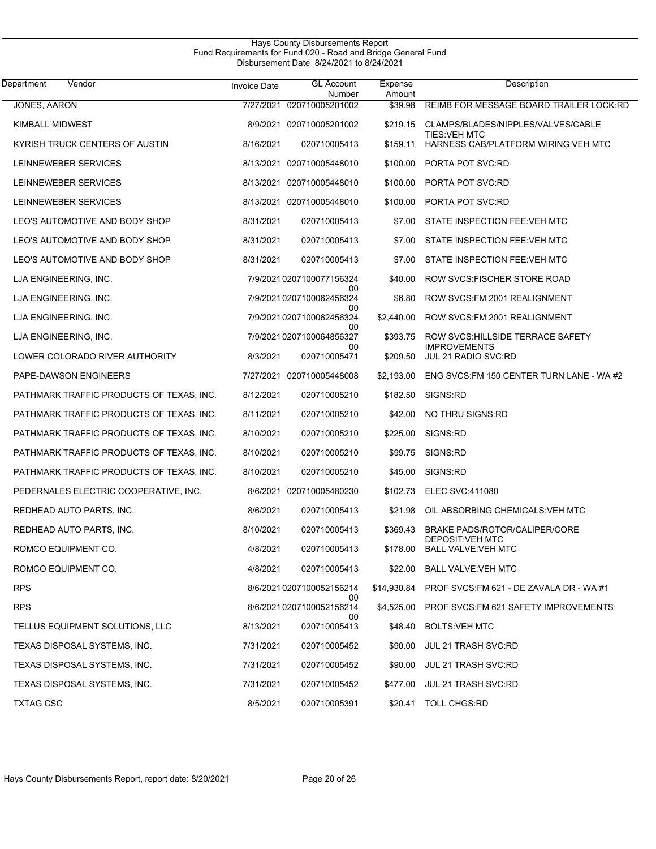| Vendor<br>Department                     | <b>Invoice Date</b> | <b>GL Account</b><br>Number     | Expense<br>Amount | Description                                                |
|------------------------------------------|---------------------|---------------------------------|-------------------|------------------------------------------------------------|
| <b>JONES, AARON</b>                      | 7/27/2021           | 020710005201002                 | \$39.98           | REIMB FOR MESSAGE BOARD TRAILER LOCK:RD                    |
| <b>KIMBALL MIDWEST</b>                   |                     | 8/9/2021 020710005201002        | \$219.15          | CLAMPS/BLADES/NIPPLES/VALVES/CABLE<br><b>TIES: VEH MTC</b> |
| KYRISH TRUCK CENTERS OF AUSTIN           | 8/16/2021           | 020710005413                    | \$159.11          | HARNESS CAB/PLATFORM WIRING: VEH MTC                       |
| LEINNEWEBER SERVICES                     |                     | 8/13/2021 020710005448010       | \$100.00          | PORTA POT SVC:RD                                           |
| LEINNEWEBER SERVICES                     |                     | 8/13/2021 020710005448010       | \$100.00          | PORTA POT SVC:RD                                           |
| LEINNEWEBER SERVICES                     |                     | 8/13/2021 020710005448010       | \$100.00          | PORTA POT SVC:RD                                           |
| LEO'S AUTOMOTIVE AND BODY SHOP           | 8/31/2021           | 020710005413                    | \$7.00            | STATE INSPECTION FEE: VEH MTC                              |
| LEO'S AUTOMOTIVE AND BODY SHOP           | 8/31/2021           | 020710005413                    | \$7.00            | STATE INSPECTION FEE: VEH MTC                              |
| LEO'S AUTOMOTIVE AND BODY SHOP           | 8/31/2021           | 020710005413                    | \$7.00            | STATE INSPECTION FEE: VEH MTC                              |
| LJA ENGINEERING, INC.                    |                     | 7/9/2021 0207100077156324       | \$40.00           | ROW SVCS: FISCHER STORE ROAD                               |
| LJA ENGINEERING, INC.                    |                     | 00<br>7/9/2021 0207100062456324 | \$6.80            | ROW SVCS: FM 2001 REALIGNMENT                              |
| LJA ENGINEERING, INC.                    |                     | 00<br>7/9/2021 0207100062456324 | \$2,440.00        | ROW SVCS: FM 2001 REALIGNMENT                              |
| LJA ENGINEERING, INC.                    |                     | 00<br>7/9/2021 0207100064856327 | \$393.75          | ROW SVCS: HILLSIDE TERRACE SAFETY                          |
| LOWER COLORADO RIVER AUTHORITY           | 8/3/2021            | 00<br>020710005471              | \$209.50          | <b>IMPROVEMENTS</b><br>JUL 21 RADIO SVC:RD                 |
| PAPE-DAWSON ENGINEERS                    |                     | 7/27/2021 020710005448008       | \$2,193.00        | ENG SVCS: FM 150 CENTER TURN LANE - WA #2                  |
| PATHMARK TRAFFIC PRODUCTS OF TEXAS, INC. | 8/12/2021           | 020710005210                    | \$182.50          | SIGNS:RD                                                   |
| PATHMARK TRAFFIC PRODUCTS OF TEXAS, INC. | 8/11/2021           | 020710005210                    | \$42.00           | NO THRU SIGNS:RD                                           |
| PATHMARK TRAFFIC PRODUCTS OF TEXAS, INC. | 8/10/2021           | 020710005210                    | \$225.00          | SIGNS:RD                                                   |
| PATHMARK TRAFFIC PRODUCTS OF TEXAS, INC. | 8/10/2021           | 020710005210                    | \$99.75           | SIGNS:RD                                                   |
| PATHMARK TRAFFIC PRODUCTS OF TEXAS, INC. | 8/10/2021           | 020710005210                    | \$45.00           | SIGNS:RD                                                   |
| PEDERNALES ELECTRIC COOPERATIVE, INC.    |                     | 8/6/2021 020710005480230        | \$102.73          | <b>ELEC SVC:411080</b>                                     |
| REDHEAD AUTO PARTS, INC.                 | 8/6/2021            | 020710005413                    | \$21.98           | OIL ABSORBING CHEMICALS VEH MTC                            |
| REDHEAD AUTO PARTS, INC.                 | 8/10/2021           | 020710005413                    | \$369.43          | <b>BRAKE PADS/ROTOR/CALIPER/CORE</b>                       |
| ROMCO EQUIPMENT CO.                      | 4/8/2021            | 020710005413                    | \$178.00          | DEPOSIT: VEH MTC<br><b>BALL VALVE: VEH MTC</b>             |
| ROMCO EQUIPMENT CO.                      | 4/8/2021            | 020710005413                    | \$22.00           | <b>BALL VALVE: VEH MTC</b>                                 |
| <b>RPS</b>                               |                     | 8/6/2021 0207100052156214       | \$14,930.84       | PROF SVCS: FM 621 - DE ZAVALA DR - WA #1                   |
| <b>RPS</b>                               |                     | 00<br>8/6/2021 0207100052156214 | \$4,525.00        | PROF SVCS: FM 621 SAFETY IMPROVEMENTS                      |
| TELLUS EQUIPMENT SOLUTIONS, LLC          | 8/13/2021           | 00<br>020710005413              | \$48.40           | <b>BOLTS:VEH MTC</b>                                       |
| TEXAS DISPOSAL SYSTEMS, INC.             | 7/31/2021           | 020710005452                    | \$90.00           | <b>JUL 21 TRASH SVC:RD</b>                                 |
| TEXAS DISPOSAL SYSTEMS, INC.             | 7/31/2021           | 020710005452                    | \$90.00           | <b>JUL 21 TRASH SVC:RD</b>                                 |
| TEXAS DISPOSAL SYSTEMS, INC.             | 7/31/2021           | 020710005452                    | \$477.00          | <b>JUL 21 TRASH SVC:RD</b>                                 |
| <b>TXTAG CSC</b>                         | 8/5/2021            | 020710005391                    | \$20.41           | <b>TOLL CHGS:RD</b>                                        |

Hays County Disbursements Report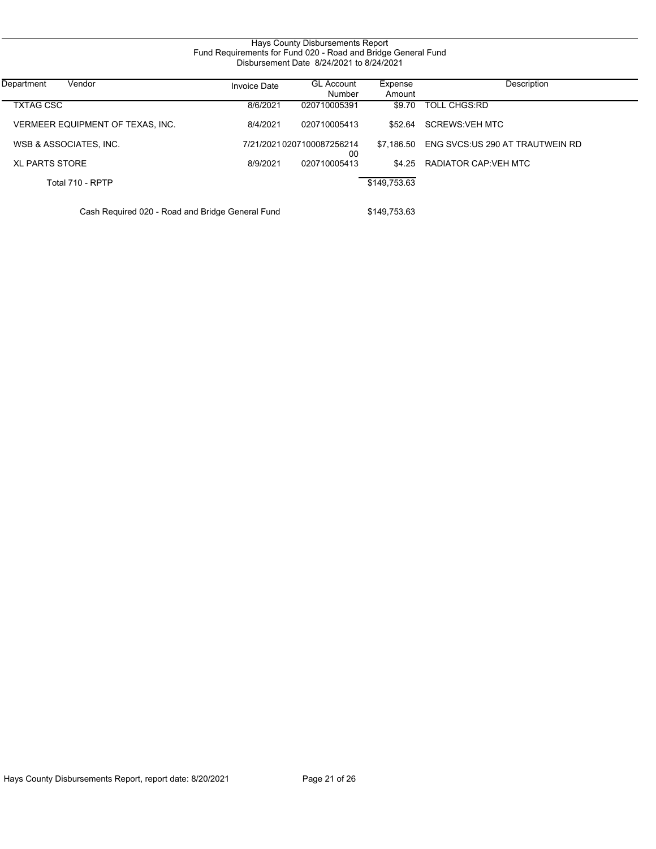| Hays County Disbursements Report<br>Fund Requirements for Fund 020 - Road and Bridge General Fund<br>Disbursement Date 8/24/2021 to 8/24/2021 |                     |                                  |                   |                                 |  |  |
|-----------------------------------------------------------------------------------------------------------------------------------------------|---------------------|----------------------------------|-------------------|---------------------------------|--|--|
| Department<br>Vendor                                                                                                                          | <b>Invoice Date</b> | <b>GL Account</b><br>Number      | Expense<br>Amount | Description                     |  |  |
| <b>TXTAG CSC</b>                                                                                                                              | 8/6/2021            | 020710005391                     | \$9.70            | <b>TOLL CHGS:RD</b>             |  |  |
| VERMEER EQUIPMENT OF TEXAS, INC.                                                                                                              | 8/4/2021            | 020710005413                     | \$52.64           | <b>SCREWS:VEH MTC</b>           |  |  |
| WSB & ASSOCIATES, INC.                                                                                                                        |                     | 7/21/2021 0207100087256214<br>00 | \$7.186.50        | ENG SVCS:US 290 AT TRAUTWEIN RD |  |  |
| <b>XL PARTS STORE</b>                                                                                                                         | 8/9/2021            | 020710005413                     | \$4.25            | RADIATOR CAP: VEH MTC           |  |  |
| Total 710 - RPTP                                                                                                                              |                     |                                  | \$149,753.63      |                                 |  |  |
| Cash Required 020 - Road and Bridge General Fund                                                                                              |                     | \$149,753.63                     |                   |                                 |  |  |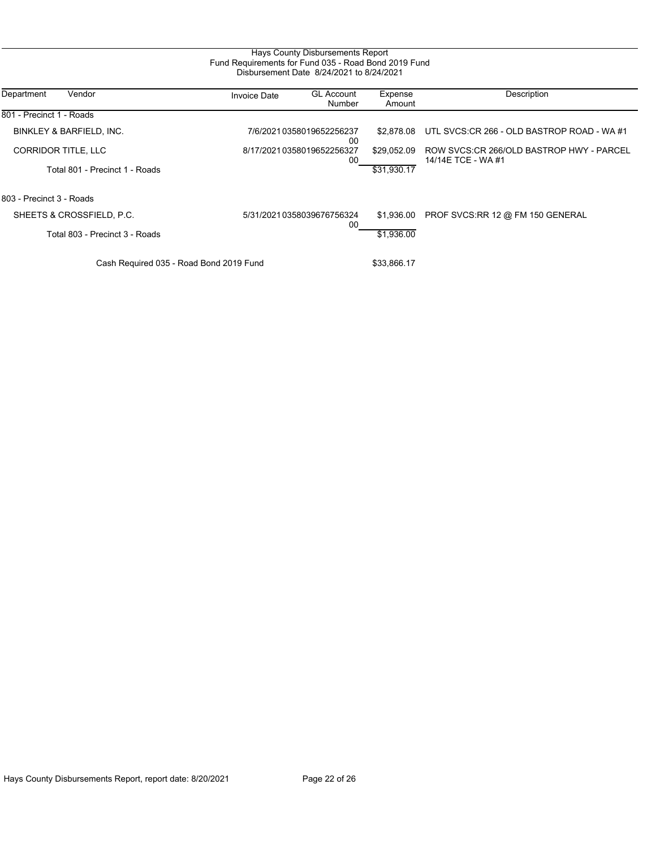|                                         | Fund Requirements for Fund 035 - Road Bond 2019 Fund | Hays County Disbursements Report<br>Disbursement Date 8/24/2021 to 8/24/2021 |                   |                                                                |
|-----------------------------------------|------------------------------------------------------|------------------------------------------------------------------------------|-------------------|----------------------------------------------------------------|
| Department<br>Vendor                    | <b>Invoice Date</b>                                  | <b>GL Account</b><br>Number                                                  | Expense<br>Amount | Description                                                    |
| 801 - Precinct 1 - Roads                |                                                      |                                                                              |                   |                                                                |
| BINKLEY & BARFIELD, INC.                |                                                      | 7/6/20210358019652256237<br>00                                               | \$2.878.08        | UTL SVCS: CR 266 - OLD BASTROP ROAD - WA #1                    |
| <b>CORRIDOR TITLE, LLC</b>              | 8/17/20210358019652256327<br>00                      |                                                                              | \$29,052.09       | ROW SVCS:CR 266/OLD BASTROP HWY - PARCEL<br>14/14E TCE - WA #1 |
| Total 801 - Precinct 1 - Roads          |                                                      |                                                                              | \$31,930.17       |                                                                |
| 803 - Precinct 3 - Roads                |                                                      |                                                                              |                   |                                                                |
| SHEETS & CROSSFIELD, P.C.               |                                                      | 5/31/2021 0358039676756324<br>00                                             | \$1,936.00        | PROF SVCS:RR 12 @ FM 150 GENERAL                               |
| Total 803 - Precinct 3 - Roads          |                                                      |                                                                              | \$1,936.00        |                                                                |
| Cash Required 035 - Road Bond 2019 Fund |                                                      |                                                                              |                   |                                                                |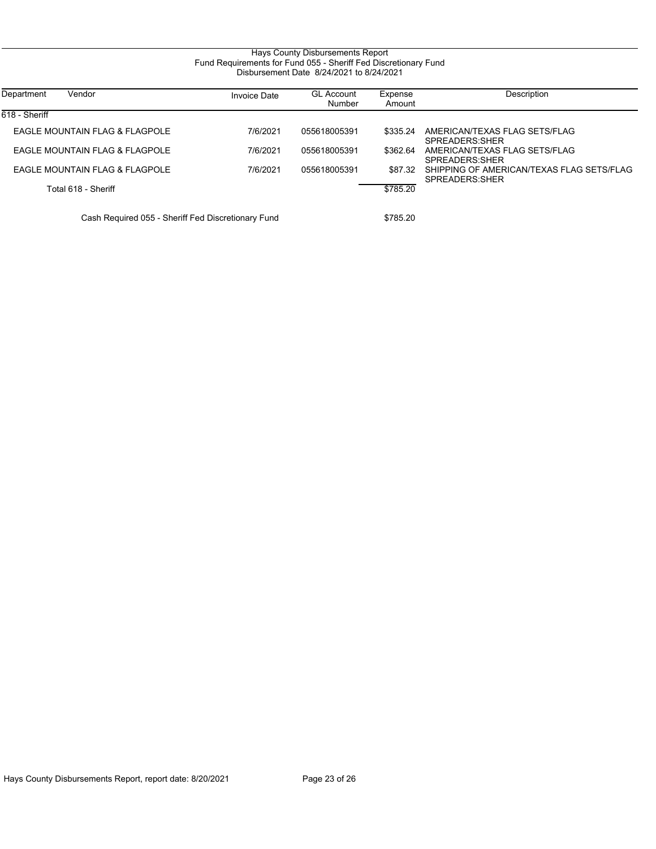#### Hays County Disbursements Report Fund Requirements for Fund 055 - Sheriff Fed Discretionary Fund Disbursement Date 8/24/2021 to 8/24/2021

| Department<br>Vendor                               | <b>Invoice Date</b> | <b>GL Account</b><br>Number | Expense<br>Amount | Description                                                 |
|----------------------------------------------------|---------------------|-----------------------------|-------------------|-------------------------------------------------------------|
| 618 - Sheriff                                      |                     |                             |                   |                                                             |
| EAGLE MOUNTAIN FLAG & FLAGPOLE                     | 7/6/2021            | 055618005391                | \$335.24          | AMERICAN/TEXAS FLAG SETS/FLAG<br>SPREADERS SHER             |
| EAGLE MOUNTAIN FLAG & FLAGPOLE                     | 7/6/2021            | 055618005391                | \$362.64          | AMERICAN/TEXAS FLAG SETS/FLAG<br>SPREADERS SHER             |
| EAGLE MOUNTAIN FLAG & FLAGPOLE                     | 7/6/2021            | 055618005391                | \$87.32           | SHIPPING OF AMERICAN/TEXAS FLAG SETS/FLAG<br>SPREADERS SHER |
| Total 618 - Sheriff                                |                     |                             | \$785.20          |                                                             |
| Cash Required 055 - Sheriff Fed Discretionary Fund |                     |                             | \$785.20          |                                                             |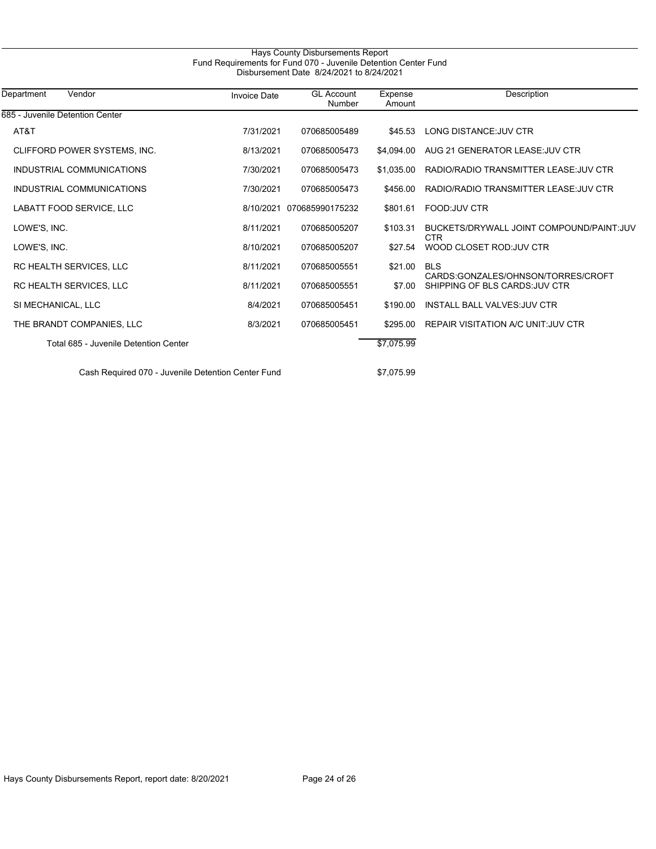| Department<br>Vendor                  | <b>Invoice Date</b> | <b>GL Account</b><br>Number | Expense<br>Amount | Description                                                          |
|---------------------------------------|---------------------|-----------------------------|-------------------|----------------------------------------------------------------------|
| 685 - Juvenile Detention Center       |                     |                             |                   |                                                                      |
| AT&T                                  | 7/31/2021           | 070685005489                | \$45.53           | LONG DISTANCE: JUV CTR                                               |
| CLIFFORD POWER SYSTEMS, INC.          | 8/13/2021           | 070685005473                | \$4.094.00        | AUG 21 GENERATOR LEASE: JUV CTR                                      |
| INDUSTRIAL COMMUNICATIONS             | 7/30/2021           | 070685005473                | \$1.035.00        | RADIO/RADIO TRANSMITTER LEASE: JUV CTR                               |
| INDUSTRIAL COMMUNICATIONS             | 7/30/2021           | 070685005473                | \$456.00          | RADIO/RADIO TRANSMITTER LEASE: JUV CTR                               |
| LABATT FOOD SERVICE, LLC              | 8/10/2021           | 070685990175232             | \$801.61          | FOOD: JUV CTR                                                        |
| LOWE'S, INC.                          | 8/11/2021           | 070685005207                | \$103.31          | BUCKETS/DRYWALL JOINT COMPOUND/PAINT: JUV<br><b>CTR</b>              |
| LOWE'S, INC.                          | 8/10/2021           | 070685005207                | \$27.54           | WOOD CLOSET ROD: JUV CTR                                             |
| RC HEALTH SERVICES, LLC               | 8/11/2021           | 070685005551                | \$21.00           | <b>BLS</b>                                                           |
| RC HEALTH SERVICES, LLC               | 8/11/2021           | 070685005551                | \$7.00            | CARDS:GONZALES/OHNSON/TORRES/CROFT<br>SHIPPING OF BLS CARDS: JUV CTR |
| SI MECHANICAL, LLC                    | 8/4/2021            | 070685005451                | \$190.00          | <b>INSTALL BALL VALVES: JUV CTR</b>                                  |
| THE BRANDT COMPANIES, LLC             | 8/3/2021            | 070685005451                | \$295.00          | REPAIR VISITATION A/C UNIT: JUV CTR                                  |
| Total 685 - Juvenile Detention Center |                     |                             | \$7,075.99        |                                                                      |
|                                       |                     |                             | $A = A = A$       |                                                                      |

Hays County Disbursements Report

Cash Required 070 - Juvenile Detention Center Fund \$7,075.99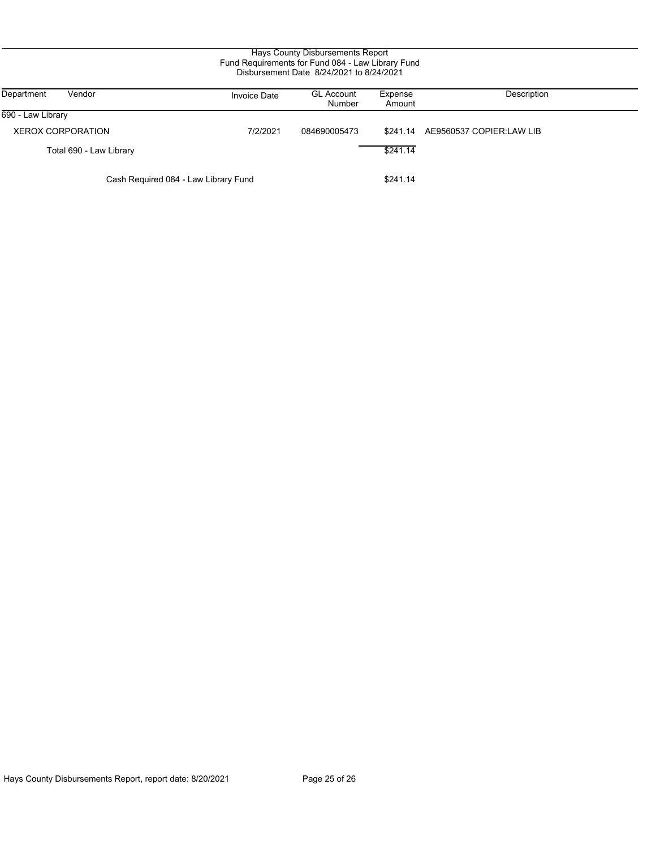#### Hays County Disbursements Report Fund Requirements for Fund 084 - Law Library Fund Disbursement Date 8/24/2021 to 8/24/2021

| Department<br>Vendor                 | <b>Invoice Date</b> | <b>GL Account</b><br>Number | Expense<br>Amount | Description                       |
|--------------------------------------|---------------------|-----------------------------|-------------------|-----------------------------------|
| 690 - Law Library                    |                     |                             |                   |                                   |
| <b>XEROX CORPORATION</b>             | 7/2/2021            | 084690005473                |                   | \$241.14 AE9560537 COPIER:LAW LIB |
| Total 690 - Law Library              |                     |                             | \$241.14          |                                   |
| Cash Required 084 - Law Library Fund |                     |                             | \$241.14          |                                   |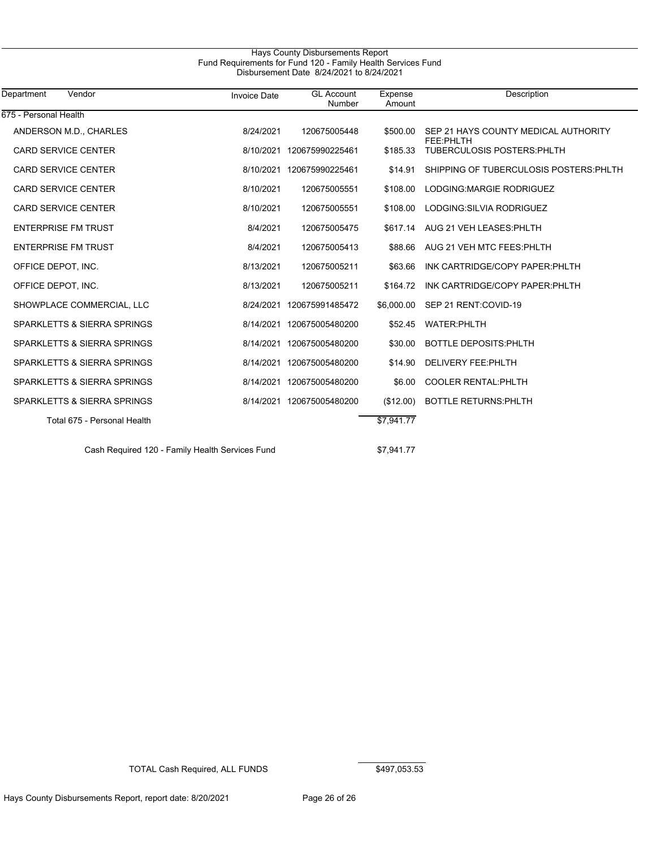#### Hays County Disbursements Report Fund Requirements for Fund 120 - Family Health Services Fund Disbursement Date 8/24/2021 to 8/24/2021

| Department<br>Vendor                            | <b>Invoice Date</b> | <b>GL Account</b><br>Number | Expense<br>Amount | <b>Description</b>                                 |
|-------------------------------------------------|---------------------|-----------------------------|-------------------|----------------------------------------------------|
| 675 - Personal Health                           |                     |                             |                   |                                                    |
| ANDERSON M.D., CHARLES                          | 8/24/2021           | 120675005448                | \$500.00          | SEP 21 HAYS COUNTY MEDICAL AUTHORITY<br>FEE: PHLTH |
| <b>CARD SERVICE CENTER</b>                      |                     | 8/10/2021 120675990225461   | \$185.33          | <b>TUBERCULOSIS POSTERS: PHLTH</b>                 |
| <b>CARD SERVICE CENTER</b>                      |                     | 8/10/2021 120675990225461   | \$14.91           | SHIPPING OF TUBERCULOSIS POSTERS: PHLTH            |
| <b>CARD SERVICE CENTER</b>                      | 8/10/2021           | 120675005551                | \$108.00          | LODGING MARGIE RODRIGUEZ                           |
| <b>CARD SERVICE CENTER</b>                      | 8/10/2021           | 120675005551                | \$108.00          | LODGING: SILVIA RODRIGUEZ                          |
| <b>ENTERPRISE FM TRUST</b>                      | 8/4/2021            | 120675005475                | \$617.14          | AUG 21 VEH LEASES: PHLTH                           |
| <b>ENTERPRISE FM TRUST</b>                      | 8/4/2021            | 120675005413                | \$88.66           | AUG 21 VEH MTC FEES: PHLTH                         |
| OFFICE DEPOT, INC.                              | 8/13/2021           | 120675005211                | \$63.66           | INK CARTRIDGE/COPY PAPER: PHLTH                    |
| OFFICE DEPOT, INC.                              | 8/13/2021           | 120675005211                | \$164.72          | INK CARTRIDGE/COPY PAPER: PHLTH                    |
| SHOWPLACE COMMERCIAL, LLC                       |                     | 8/24/2021 120675991485472   | \$6,000.00        | SEP 21 RENT:COVID-19                               |
| SPARKLETTS & SIERRA SPRINGS                     |                     | 8/14/2021 120675005480200   | \$52.45           | <b>WATER:PHLTH</b>                                 |
| SPARKLETTS & SIERRA SPRINGS                     |                     | 8/14/2021 120675005480200   | \$30.00           | <b>BOTTLE DEPOSITS PHLTH</b>                       |
| SPARKLETTS & SIERRA SPRINGS                     |                     | 8/14/2021 120675005480200   | \$14.90           | DELIVERY FEE: PHLTH                                |
| SPARKLETTS & SIERRA SPRINGS                     |                     | 8/14/2021 120675005480200   | \$6.00            | <b>COOLER RENTAL: PHLTH</b>                        |
| SPARKLETTS & SIERRA SPRINGS                     |                     | 8/14/2021 120675005480200   | (\$12.00)         | <b>BOTTLE RETURNS: PHLTH</b>                       |
| Total 675 - Personal Health                     |                     |                             | \$7,941.77        |                                                    |
| Cash Required 120 - Family Health Services Fund |                     |                             | \$7,941.77        |                                                    |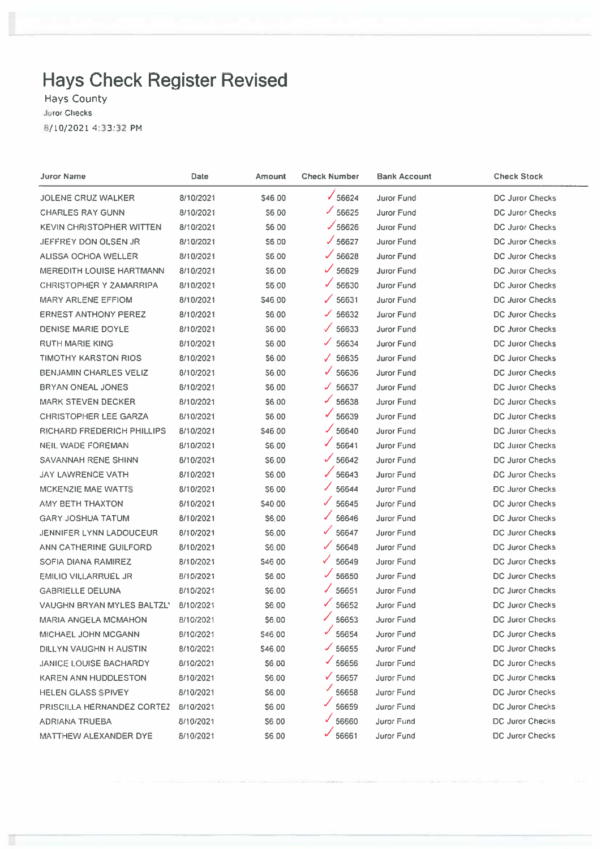# **Hays Check Register Revised**

Hays County **Juror Checks** 8/10/2021 4:33:32 PM

| Juror Name                        | Date      | Amount  | <b>Check Number</b>   | <b>Bank Account</b> | <b>Check Stock</b>     |
|-----------------------------------|-----------|---------|-----------------------|---------------------|------------------------|
| <b>JOLENE CRUZ WALKER</b>         | 8/10/2021 | \$46,00 | $\times$ 56624        | Juror Fund          | DC Juror Checks        |
| <b>CHARLES RAY GUNN</b>           | 8/10/2021 | 56.00   | $\times$ 56625        | Juror Fund          | DC Juror Checks        |
| KEVIN CHRISTOPHER WITTEN          | 8/10/2021 | S6 00   | $\frac{1}{56626}$     | <b>Juror Fund</b>   | DC Juror Checks        |
| JEFFREY DON OLSEN JR              | 8/10/2021 | \$6.00  | J 56627               | <b>Juror Fund</b>   | DC Juror Checks        |
| ALISSA OCHOA WELLER               | 8/10/2021 | \$6,00  | $\sqrt{56628}$        | <b>Juror Fund</b>   | <b>DC Juror Checks</b> |
| MEREDITH LOUISE HARTMANN          | 8/10/2021 | \$6.00  | $\times$ 56629        | Juror Fund          | DC Juror Checks        |
| <b>CHRISTOPHER Y ZAMARRIPA</b>    | 8/10/2021 | \$6.00  | $\times$ 56630        | Juror Fund          | <b>DC Juror Checks</b> |
| MARY ARLENE EFFIOM                | 8/10/2021 | \$46.00 | $\sqrt{56631}$        | Juror Fund          | <b>DC Juror Checks</b> |
| <b>ERNEST ANTHONY PEREZ</b>       | 8/10/2021 | S6.00   | $\times$ 56632        | <b>Juror Fund</b>   | <b>DC Juror Checks</b> |
| DENISE MARIE DOYLE                | 8/10/2021 | S6.00   | $\checkmark$<br>56633 | Juror Fund          | <b>DC Juror Checks</b> |
| <b>RUTH MARIE KING</b>            | 8/10/2021 | S6.00   | ✓<br>56634            | Juror Fund          | DC Juror Checks        |
| <b>TIMOTHY KARSTON RIOS</b>       | 8/10/2021 | 56.00   | $\checkmark$<br>56635 | Juror Fund          | DC Juror Checks        |
| <b>BENJAMIN CHARLES VELIZ</b>     | 8/10/2021 | 56.00   | $\times$ 56636        | Juror Fund          | <b>DC Juror Checks</b> |
| BRYAN ONEAL JONES                 | 8/10/2021 | S6.00   | 56637<br>✓            | Juror Fund          | DC Juror Checks        |
| <b>MARK STEVEN DECKER</b>         | 8/10/2021 | \$6,00  | ✓<br>56638            | Juror Fund          | DC Juror Checks        |
| <b>CHRISTOPHER LEE GARZA</b>      | 8/10/2021 | \$6.00  | V<br>56639            | Juror Fund          | DC Juror Checks        |
| RICHARD FREDERICH PHILLIPS        | 8/10/2021 | S46.00  | $\times$ 56640        | Juror Fund          | DC Juror Checks        |
| NEIL WADE FOREMAN                 | 8/10/2021 | S6.00   | ✓<br>56641            | Juror Fund          | DC Juror Checks        |
| SAVANNAH RENE SHINN               | 8/10/2021 | S6.00   | $\times$ 56642        | Juror Fund          | <b>DC Juror Checks</b> |
| JAY LAWRENCE VATH                 | 8/10/2021 | S6.00   | $\sqrt{56643}$        | Juror Fund          | <b>DC Juror Checks</b> |
| MCKENZIE MAE WATTS                | 8/10/2021 | S6 00   | ✓<br>56644            | <b>Juror Fund</b>   | DC Juror Checks        |
| AMY BETH THAXTON                  | 8/10/2021 | \$40.00 | ✓<br>56645            | <b>Juror Fund</b>   | DC Juror Checks        |
| GARY JOSHUA TATUM                 | 8/10/2021 | \$6.00  | ✓<br>56646            | <b>Juror Fund</b>   | <b>DC Juror Checks</b> |
| JENNIFER LYNN LADOUCEUR           | 8/10/2021 | S6.00   | $\checkmark$<br>56647 | Juror Fund          | DC Juror Checks        |
| ANN CATHERINE GUILFORD            | 8/10/2021 | S6.00   | ✓<br>56648            | Juror Fund          | DC Juror Checks        |
| SOFIA DIANA RAMIREZ               | 8/10/2021 | S46 00  | ✓<br>56649            | <b>Juror Fund</b>   | DC Juror Checks        |
| EMILIO VILLARRUEL JR              | 8/10/2021 | \$6,00  | ✓<br>56650            | Juror Fund          | DC Juror Checks        |
| <b>GABRIELLE DELUNA</b>           | 8/10/2021 | \$6.00  | $\sqrt{56651}$        | <b>Juror Fund</b>   | DC Juror Checks        |
| <b>VAUGHN BRYAN MYLES BALTZL'</b> | 8/10/2021 | S6.00   | $\frac{66652}{2}$     | Juror Fund          | DC Juror Checks        |
| MARIA ANGELA MCMAHON              | 8/10/2021 | S6.00   | ✓<br>56653            | Juror Fund          | DC Juror Checks        |
| MICHAEL JOHN MCGANN               | 8/10/2021 | \$46,00 | ✓<br>56654            | Juror Fund          | DC Juror Checks        |
| DILLYN VAUGHN H AUSTIN            | 8/10/2021 | \$46.00 | $\frac{66655}{56655}$ | Juror Fund          | DC Juror Checks        |
| JANICE LOUISE BACHARDY            | 8/10/2021 | \$6,00  | $\frac{66656}{56656}$ | Juror Fund          | DC Juror Checks        |
| KAREN ANN HUDDLESTON              | 8/10/2021 | \$6.00  | ✔ 56657               | Juror Fund          | <b>DC Juror Checks</b> |
| HELEN GLASS SPIVEY                | 8/10/2021 | \$6.00  | 56658                 | Juror Fund          | <b>DC Juror Checks</b> |
| PRISCILLA HERNANDEZ CORTEZ        | 8/10/2021 | \$6.00  | 56659                 | Juror Fund          | <b>DC Juror Checks</b> |
| ADRIANA TRUEBA                    | 8/10/2021 | \$6,00  | 56660                 | Juror Fund          | <b>DC Juror Checks</b> |
| MATTHEW ALEXANDER DYE             | 8/10/2021 | S6.00   | 56661                 | Juror Fund          | <b>DC Juror Checks</b> |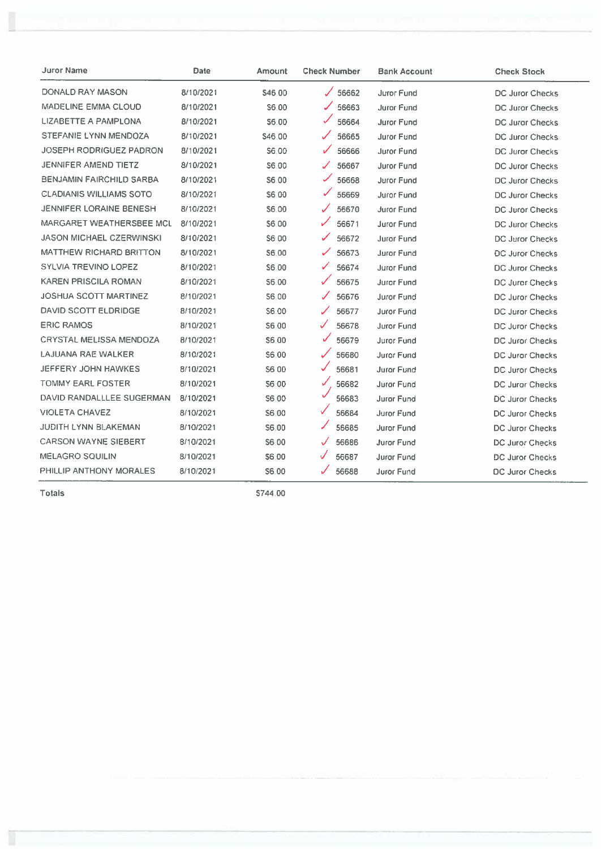| Juror Name                      | Date      | <b>Amount</b> | <b>Check Number</b> | <b>Bank Account</b> | <b>Check Stock</b>     |
|---------------------------------|-----------|---------------|---------------------|---------------------|------------------------|
| DONALD RAY MASON                | 8/10/2021 | \$46.00       | 56662<br>◢          | Juror Fund          | <b>DC Juror Checks</b> |
| <b>MADELINE EMMA CLOUD</b>      | 8/10/2021 | S6.00         | 56663               | <b>Juror Fund</b>   | <b>DC Juror Checks</b> |
| LIZABETTE A PAMPLONA            | 8/10/2021 | S6.00         | 56664               | Juror Fund          | DC Juror Checks        |
| STEFANIE LYNN MENDOZA           | 8/10/2021 | \$46.00       | 56665               | Juror Fund          | DC Juror Checks        |
| JOSEPH RODRIGUEZ PADRON         | 8/10/2021 | <b>S6.00</b>  | 56666               | <b>Juror Fund</b>   | <b>DC Juror Checks</b> |
| JENNIFER AMEND TIETZ            | 8/10/2021 | S6.00         | 56667               | <b>Juror Fund</b>   | DC Juror Checks        |
| BENJAMIN FAIRCHILD SARBA        | 8/10/2021 | S6 00         | 56668               | Juror Fund          | DC Juror Checks        |
| <b>CLADIANIS WILLIAMS SOTO</b>  | 8/10/2021 | S6.00         | ✓<br>56669          | Juror Fund          | DC Juror Checks        |
| JENNIFER LORAINE BENESH         | 8/10/2021 | S6.00         | 56670               | <b>Juror Fund</b>   | DC Juror Checks        |
| MARGARET WEATHERSBEE MCL        | 8/10/2021 | \$6.00        | 56671               | Juror Fund          | DC Juror Checks        |
| <b>JASON MICHAEL CZERWINSKI</b> | 8/10/2021 | S6 00         | 56672<br>✓          | Juror Fund          | DC Juror Checks        |
| <b>MATTHEW RICHARD BRITTON</b>  | 8/10/2021 | \$6.00        | 56673               | Juror Fund          | <b>DC Juror Checks</b> |
| <b>SYLVIA TREVINO LOPEZ</b>     | 8/10/2021 | \$6.00        | 56674<br>✓          | Juror Fund          | DC Juror Checks        |
| KAREN PRISCILA ROMAN            | 8/10/2021 | S6.00         | 56675               | Juror Fund          | DC Juror Checks        |
| <b>JOSHUA SCOTT MARTINEZ</b>    | 8/10/2021 | S6.00         | 56676               | Juror Fund          | DC Juror Checks        |
| DAVID SCOTT ELDRIDGE            | 8/10/2021 | S6.00         | 56677               | Juror Fund          | DC Juror Checks        |
| <b>ERIC RAMOS</b>               | 8/10/2021 | \$6.00        | 56678               | Juror Fund          | DC Juror Checks        |
| <b>CRYSTAL MELISSA MENDOZA</b>  | 8/10/2021 | S6.00         | ✓<br>56679          | <b>Juror Fund</b>   | DC Juror Checks        |
| LAJUANA RAE WALKER              | 8/10/2021 | S6.00         | 56680               | <b>Juror Fund</b>   | DC Juror Checks        |
| JEFFERY JOHN HAWKES             | 8/10/2021 | <b>S600</b>   | 56681<br>✓          | <b>Juror Fund</b>   | DC Juror Checks        |
| <b>TOMMY EARL FOSTER</b>        | 8/10/2021 | <b>S6.00</b>  | ✓<br>56682          | <b>Juror Fund</b>   | <b>DC Juror Checks</b> |
| DAVID RANDALLLEE SUGERMAN       | 8/10/2021 | S6.00         | 56683               | Juror Fund          | <b>DC Juror Checks</b> |
| <b>VIOLETA CHAVEZ</b>           | 8/10/2021 | S6.00         | ✓<br>56684          | Juror Fund          | DC Juror Checks        |
| JUDITH LYNN BLAKEMAN            | 8/10/2021 | S6.00         | ✓<br>56685          | Juror Fund          | DC Juror Checks        |
| <b>CARSON WAYNE SIEBERT</b>     | 8/10/2021 | S6.00         | 56686<br>✓          | <b>Juror Fund</b>   | DC Juror Checks        |
| <b>MELAGRO SQUILIN</b>          | 8/10/2021 | 56.00         | 56687               | Juror Fund          | DC Juror Checks        |
| PHILLIP ANTHONY MORALES         | 8/10/2021 | S6.00         | 56688<br>✓          | Juror Fund          | <b>DC Juror Checks</b> |

Totals

Ĩ

\$744.00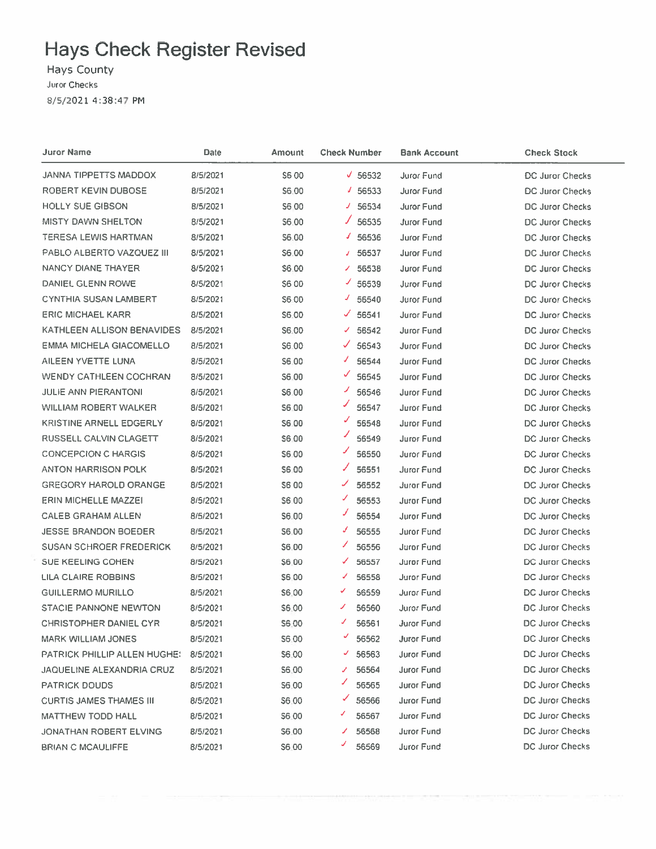## **Hays Check Register Revised**

Hays County Juror Checks 8/5/2021 4:38:47 PM

| <b>Juror Name</b>                   | Date     | Amount       | <b>Check Number</b> | Bank Account      | <b>Check Stock</b>     |
|-------------------------------------|----------|--------------|---------------------|-------------------|------------------------|
| JANNA TIPPETTS MADDOX               | 8/5/2021 | S6 00        | $\times$ 56532      | Juror Fund        | <b>DC Juror Checks</b> |
| ROBERT KEVIN DUBOSE                 | 8/5/2021 | \$6,00       | 1.56533             | Juror Fund        | <b>DC Juror Checks</b> |
| <b>HOLLY SUE GIBSON</b>             | 8/5/2021 | S6 00        | $J$ 56534           | <b>Juror Fund</b> | DC Juror Checks        |
| <b>MISTY DAWN SHELTON</b>           | 8/5/2021 | S6.00        | 56535               | <b>Juror Fund</b> | <b>DC Juror Checks</b> |
| <b>TERESA LEWIS HARTMAN</b>         | 8/5/2021 | \$6.00       | J.<br>56536         | Juror Fund        | DC Juror Checks        |
| PABLO ALBERTO VAZQUEZ III           | 8/5/2021 | \$6.00       | 56537<br>J.         | Juror Fund        | DC Juror Checks        |
| NANCY DIANE THAYER                  | 8/5/2021 | \$6.00       | 56538<br>Î.         | Juror Fund        | DC Juror Checks        |
| DANIEL GLENN ROWE                   | 8/5/2021 | S6 00        | 56539               | Juror Fund        | DC Juror Checks        |
| <b>CYNTHIA SUSAN LAMBERT</b>        | 8/5/2021 | \$6.00       | ◢<br>56540          | Juror Fund        | DC Juror Checks        |
| <b>ERIC MICHAEL KARR</b>            | 8/5/2021 | S6.00        | 56541<br>✔          | Juror Fund        | DC Juror Checks        |
| KATHLEEN ALLISON BENAVIDES          | 8/5/2021 | <b>S6.00</b> | 56542<br>✔          | Juror Fund        | <b>DC Juror Checks</b> |
| <b>EMMA MICHELA GIACOMELLO</b>      | 8/5/2021 | S6.00        | √<br>56543          | <b>Juror Fund</b> | <b>DC Juror Checks</b> |
| <b>AILEEN YVETTE LUNA</b>           | 8/5/2021 | S6.00        | J<br>56544          | <b>Juror Fund</b> | <b>DC Juror Checks</b> |
| <b>WENDY CATHLEEN COCHRAN</b>       | 8/5/2021 | S6.00        | V<br>56545          | <b>Juror Fund</b> | <b>DC Juror Checks</b> |
| <b>JULIE ANN PIERANTONI</b>         | 8/5/2021 | S6.00        | ৴<br>56546          | Juror Fund        | DC Juror Checks        |
| <b>WILLIAM ROBERT WALKER</b>        | 8/5/2021 | \$6.00       | ◢<br>56547          | <b>Juror Fund</b> | DC Juror Checks        |
| KRISTINE ARNELL EDGERLY             | 8/5/2021 | S6.00        | J<br>56548          | Juror Fund        | DC Juror Checks        |
| RUSSELL CALVIN CLAGETT              | 8/5/2021 | <b>S600</b>  | 56549               | <b>Juror Fund</b> | DC Juror Checks        |
| <b>CONCEPCION C HARGIS</b>          | 8/5/2021 | S6.00        | J<br>56550          | Juror Fund        | DC Juror Checks        |
| ANTON HARRISON POLK                 | 8/5/2021 | S6 00        | J<br>56551          | <b>Juror Fund</b> | DC Juror Checks        |
| <b>GREGORY HAROLD ORANGE</b>        | 8/5/2021 | <b>S6 00</b> | J<br>56552          | <b>Juror Fund</b> | DC Juror Checks        |
| <b>ERIN MICHELLE MAZZEI</b>         | 8/5/2021 | S6 00        | ◢<br>56553          | <b>Juror Fund</b> | DC Juror Checks        |
| <b>CALEB GRAHAM ALLEN</b>           | 8/5/2021 | \$6.00       | J<br>56554          | Juror Fund        | DC Juror Checks        |
| <b>JESSE BRANDON BOEDER</b>         | 8/5/2021 | S6.00        | J<br>56555          | Juror Fund        | DC Juror Checks        |
| <b>SUSAN SCHROER FREDERICK</b>      | 8/5/2021 | \$6,00       | ◢<br>56556          | Juror Fund        | DC Juror Checks        |
| SUE KEELING COHEN                   | 8/5/2021 | \$6.00       | ✔<br>56557          | <b>Juror Fund</b> | DC Juror Checks        |
| LILA CLAIRE ROBBINS                 | 8/5/2021 | \$6.00       | ✔<br>56558          | <b>Juror Fund</b> | DC Juror Checks        |
| <b>GUILLERMO MURILLO</b>            | 8/5/2021 | S6.00        | ✔<br>56559          | Juror Fund        | <b>DC Juror Checks</b> |
| <b>STACIE PANNONE NEWTON</b>        | 8/5/2021 | S6.00        | ৴<br>56560          | Juror Fund        | <b>DC Juror Checks</b> |
| <b>CHRISTOPHER DANIEL CYR</b>       | 8/5/2021 | S6.00        | J<br>56561          | Juror Fund        | <b>DC Juror Checks</b> |
| <b>MARK WILLIAM JONES</b>           | 8/5/2021 | S6.00        | Ý<br>56562          | <b>Juror Fund</b> | DC Juror Checks        |
| <b>PATRICK PHILLIP ALLEN HUGHE!</b> | 8/5/2021 | S6.00        | J<br>56563          | <b>Juror Fund</b> | <b>DC Juror Checks</b> |
| JAQUELINE ALEXANDRIA CRUZ           | 8/5/2021 | S6.00        | 56564<br>J.         | Juror Fund        | <b>DC Juror Checks</b> |
| <b>PATRICK DOUDS</b>                | 8/5/2021 | S6.00        | 56565               | <b>Juror Fund</b> | <b>DC Juror Checks</b> |
| <b>CURTIS JAMES THAMES III</b>      | 8/5/2021 | S6.00        | ✔<br>56566          | <b>Juror Fund</b> | <b>DC Juror Checks</b> |
| <b>MATTHEW TODD HALL</b>            | 8/5/2021 | S6.00        | ↙<br>56567          | Juror Fund        | DC Juror Checks        |
| JONATHAN ROBERT ELVING              | 8/5/2021 | S6.00        | 56568<br>◢          | <b>Juror Fund</b> | <b>DC Juror Checks</b> |
| <b>BRIAN C MCAULIFFE</b>            | 8/5/2021 | S6.00        | ◢<br>56569          | Juror Fund        | DC Juror Checks        |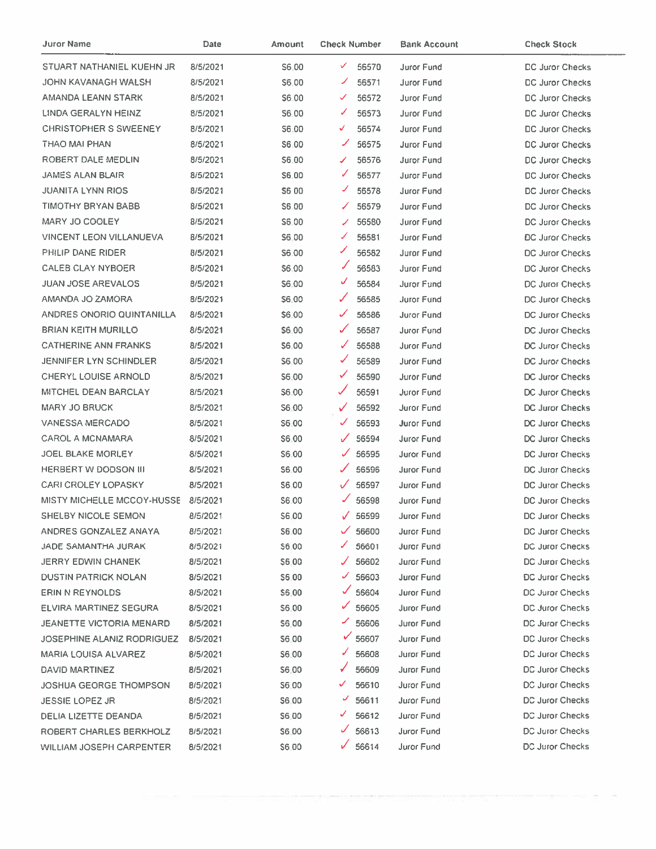| Juror Name                        | Date     | Amount       | <b>Check Number</b>   | <b>Bank Account</b> | <b>Check Stock</b>     |
|-----------------------------------|----------|--------------|-----------------------|---------------------|------------------------|
| STUART NATHANIEL KUEHN JR         | 8/5/2021 | S6.00        | ✓<br>56570            | Juror Fund          | DC Juror Checks        |
| JOHN KAVANAGH WALSH               | 8/5/2021 | \$6.00       | ◢<br>56571            | Juror Fund          | DC Juror Checks        |
| AMANDA LEANN STARK                | 8/5/2021 | S6.00        | 56572<br>✓            | Juror Fund          | <b>DC Juror Checks</b> |
| LINDA GERALYN HEINZ               | 8/5/2021 | S6.00        | ✔<br>56573            | Juror Fund          | DC Juror Checks        |
| <b>CHRISTOPHER S SWEENEY</b>      | 8/5/2021 | S6.00        | √<br>56574            | Juror Fund          | <b>DC Juror Checks</b> |
| THAO MAI PHAN                     | 8/5/2021 | <b>S6.00</b> | ◢<br>56575            | <b>Juror Fund</b>   | DC Juror Checks        |
| ROBERT DALE MEDLIN                | 8/5/2021 | \$6,00       | 56576<br>✓            | <b>Juror Fund</b>   | <b>DC Juror Checks</b> |
| <b>JAMES ALAN BLAIR</b>           | 8/5/2021 | \$6.00       | J<br>56577            | Juror Fund          | <b>DC Juror Checks</b> |
| <b>JUANITA LYNN RIOS</b>          | 8/5/2021 | S6 00        | J<br>56578            | Juror Fund          | <b>DC Juror Checks</b> |
| <b>TIMOTHY BRYAN BABB</b>         | 8/5/2021 | S6.00        | 56579<br>✓            | <b>Juror Fund</b>   | DC Juror Checks        |
| MARY JO COOLEY                    | 8/5/2021 | \$6.00       | 56580                 | <b>Juror Fund</b>   | DC Juror Checks        |
| <b>VINCENT LEON VILLANUEVA</b>    | 8/5/2021 | S6.00        | ✓<br>56581            | <b>Juror Fund</b>   | DC Juror Checks        |
| PHILIP DANE RIDER                 | 8/5/2021 | S6.00        | ৴<br>56582            | Juror Fund          | DC Juror Checks        |
| <b>CALEB CLAY NYBOER</b>          | 8/5/2021 | S6.00        | ✓<br>56583            | Juror Fund          | <b>DC Juror Checks</b> |
| <b>JUAN JOSE AREVALOS</b>         | 8/5/2021 | \$6.00       | ✓<br>56584            | Juror Fund          | DC Juror Checks        |
| AMANDA JO ZAMORA                  | 8/5/2021 | \$6.00       | ✓<br>56585            | Juror Fund          | DC Juror Checks        |
| ANDRES ONORIO QUINTANILLA         | 8/5/2021 | \$6.00       | ✓<br>56586            | <b>Juror Fund</b>   | DC Juror Checks        |
| <b>BRIAN KEITH MURILLO</b>        | 8/5/2021 | \$6.00       | ✓<br>56587            | <b>Juror Fund</b>   | DC Juror Checks        |
| <b>CATHERINE ANN FRANKS</b>       | 8/5/2021 | \$6.00       | J<br>56588            | Juror Fund          | <b>DC Juror Checks</b> |
| <b>JENNIFER LYN SCHINDLER</b>     | 8/5/2021 | \$6.00       | ✓<br>56589            | <b>Juror Fund</b>   | DC Juror Checks        |
| <b>CHERYL LOUISE ARNOLD</b>       | 8/5/2021 | S6.00        | ✓<br>56590            | Juror Fund          | DC Juror Checks        |
| MITCHEL DEAN BARCLAY              | 8/5/2021 | S6.00        | 56591                 | Juror Fund          | DC Juror Checks        |
| <b>MARY JO BRUCK</b>              | 8/5/2021 | S6.00        | 56592<br>✓            | Juror Fund          | <b>DC Juror Checks</b> |
| <b>VANESSA MERCADO</b>            | 8/5/2021 | S6.00        | $\checkmark$<br>56593 | Juror Fund          | <b>DC Juror Checks</b> |
| <b>CAROL A MCNAMARA</b>           | 8/5/2021 | S6.00        | $\checkmark$<br>56594 | Juror Fund          | DC Juror Checks        |
| <b>JOEL BLAKE MORLEY</b>          | 8/5/2021 | S6.00        | ✓<br>56595            | <b>Juror Fund</b>   | <b>DC Juror Checks</b> |
| HERBERT W DODSON III              | 8/5/2021 | S6.00        | 56596<br>✓            | <b>Juror Fund</b>   | <b>DC Juror Checks</b> |
| <b>CARI CROLEY LOPASKY</b>        | 8/5/2021 | \$6.00       | 56597<br>✓            | <b>Juror Fund</b>   | DC Juror Checks        |
| <b>MISTY MICHELLE MCCOY-HUSSE</b> | 8/5/2021 | S6.00        | 56598                 | Juror Fund          | <b>DC Juror Checks</b> |
| SHELBY NICOLE SEMON               | 8/5/2021 | S6.00        | 56599<br>J.           | Juror Fund          | DC Juror Checks        |
| ANDRES GONZALEZ ANAYA             | 8/5/2021 | \$6.00       | 56600                 | Juror Fund          | <b>DC Juror Checks</b> |
| <b>JADE SAMANTHA JURAK</b>        | 8/5/2021 | <b>S6.00</b> | 56601<br>✓            | Juror Fund          | <b>DC Juror Checks</b> |
| <b>JERRY EDWIN CHANEK</b>         | 8/5/2021 | \$6.00       | 56602                 | Juror Fund          | <b>DC Juror Checks</b> |
| <b>DUSTIN PATRICK NOLAN</b>       | 8/5/2021 | \$6.00       | 56603<br>✔            | Juror Fund          | <b>DC Juror Checks</b> |
| ERIN N REYNOLDS                   | 8/5/2021 | S6.00        | 56604                 | Juror Fund          | DC Juror Checks        |
| ELVIRA MARTINEZ SEGURA            | 8/5/2021 | S6.00        | 56605                 | Juror Fund          | DC Juror Checks        |
| JEANETTE VICTORIA MENARD          | 8/5/2021 | S6.00        | 56606                 | Juror Fund          | DC Juror Checks        |
| <b>JOSEPHINE ALANIZ RODRIGUEZ</b> | 8/5/2021 | \$6.00       | 56607                 | Juror Fund          | DC Juror Checks        |
| <b>MARIA LOUISA ALVAREZ</b>       | 8/5/2021 | S6.00        | 56608                 | Juror Fund          | <b>DC Juror Checks</b> |
| DAVID MARTINEZ                    | 8/5/2021 | S6.00        | 56609                 | Juror Fund          | <b>DC Juror Checks</b> |
| JOSHUA GEORGE THOMPSON            | 8/5/2021 | <b>S6.00</b> | 56610<br>✓            | <b>Juror Fund</b>   | DC Juror Checks        |
| <b>JESSIE LOPEZ JR</b>            | 8/5/2021 | S6.00        | 56611                 | <b>Juror Fund</b>   | DC Juror Checks        |
| DELIA LIZETTE DEANDA              | 8/5/2021 | \$6.00       | 56612                 | Juror Fund          | DC Juror Checks        |
| <b>ROBERT CHARLES BERKHOLZ</b>    | 8/5/2021 | \$6.00       | 56613                 | Juror Fund          | DC Juror Checks        |
| WILLIAM JOSEPH CARPENTER          | 8/5/2021 | \$6.00       | 56614                 | Juror Fund          | <b>DC Juror Checks</b> |